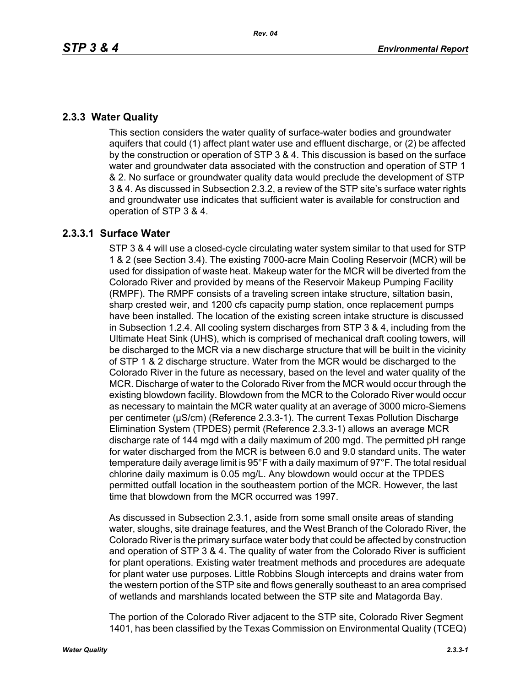## **2.3.3 Water Quality**

This section considers the water quality of surface-water bodies and groundwater aquifers that could (1) affect plant water use and effluent discharge, or (2) be affected by the construction or operation of STP 3 & 4. This discussion is based on the surface water and groundwater data associated with the construction and operation of STP 1 & 2. No surface or groundwater quality data would preclude the development of STP 3 & 4. As discussed in Subsection 2.3.2, a review of the STP site's surface water rights and groundwater use indicates that sufficient water is available for construction and operation of STP 3 & 4.

# **2.3.3.1 Surface Water**

STP 3 & 4 will use a closed-cycle circulating water system similar to that used for STP 1 & 2 (see Section 3.4). The existing 7000-acre Main Cooling Reservoir (MCR) will be used for dissipation of waste heat. Makeup water for the MCR will be diverted from the Colorado River and provided by means of the Reservoir Makeup Pumping Facility (RMPF). The RMPF consists of a traveling screen intake structure, siltation basin, sharp crested weir, and 1200 cfs capacity pump station, once replacement pumps have been installed. The location of the existing screen intake structure is discussed in Subsection 1.2.4. All cooling system discharges from STP 3 & 4, including from the Ultimate Heat Sink (UHS), which is comprised of mechanical draft cooling towers, will be discharged to the MCR via a new discharge structure that will be built in the vicinity of STP 1 & 2 discharge structure. Water from the MCR would be discharged to the Colorado River in the future as necessary, based on the level and water quality of the MCR. Discharge of water to the Colorado River from the MCR would occur through the existing blowdown facility. Blowdown from the MCR to the Colorado River would occur as necessary to maintain the MCR water quality at an average of 3000 micro-Siemens per centimeter (µS/cm) (Reference 2.3.3-1). The current Texas Pollution Discharge Elimination System (TPDES) permit (Reference 2.3.3-1) allows an average MCR discharge rate of 144 mgd with a daily maximum of 200 mgd. The permitted pH range for water discharged from the MCR is between 6.0 and 9.0 standard units. The water temperature daily average limit is 95°F with a daily maximum of 97°F. The total residual chlorine daily maximum is 0.05 mg/L. Any blowdown would occur at the TPDES permitted outfall location in the southeastern portion of the MCR. However, the last time that blowdown from the MCR occurred was 1997.

As discussed in Subsection 2.3.1, aside from some small onsite areas of standing water, sloughs, site drainage features, and the West Branch of the Colorado River, the Colorado River is the primary surface water body that could be affected by construction and operation of STP 3 & 4. The quality of water from the Colorado River is sufficient for plant operations. Existing water treatment methods and procedures are adequate for plant water use purposes. Little Robbins Slough intercepts and drains water from the western portion of the STP site and flows generally southeast to an area comprised of wetlands and marshlands located between the STP site and Matagorda Bay.

The portion of the Colorado River adjacent to the STP site, Colorado River Segment 1401, has been classified by the Texas Commission on Environmental Quality (TCEQ)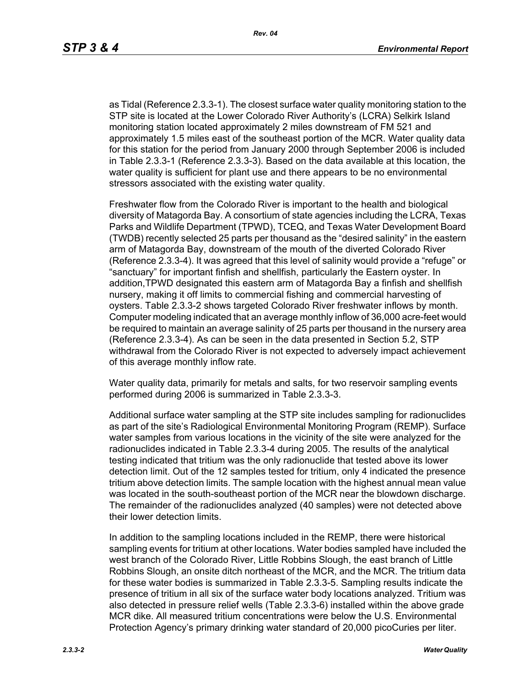as Tidal (Reference 2.3.3-1). The closest surface water quality monitoring station to the STP site is located at the Lower Colorado River Authority's (LCRA) Selkirk Island monitoring station located approximately 2 miles downstream of FM 521 and approximately 1.5 miles east of the southeast portion of the MCR. Water quality data for this station for the period from January 2000 through September 2006 is included in Table 2.3.3-1 (Reference 2.3.3-3). Based on the data available at this location, the water quality is sufficient for plant use and there appears to be no environmental stressors associated with the existing water quality.

Freshwater flow from the Colorado River is important to the health and biological diversity of Matagorda Bay. A consortium of state agencies including the LCRA, Texas Parks and Wildlife Department (TPWD), TCEQ, and Texas Water Development Board (TWDB) recently selected 25 parts per thousand as the "desired salinity" in the eastern arm of Matagorda Bay, downstream of the mouth of the diverted Colorado River (Reference 2.3.3-4). It was agreed that this level of salinity would provide a "refuge" or "sanctuary" for important finfish and shellfish, particularly the Eastern oyster. In addition,TPWD designated this eastern arm of Matagorda Bay a finfish and shellfish nursery, making it off limits to commercial fishing and commercial harvesting of oysters. Table 2.3.3-2 shows targeted Colorado River freshwater inflows by month. Computer modeling indicated that an average monthly inflow of 36,000 acre-feet would be required to maintain an average salinity of 25 parts per thousand in the nursery area (Reference 2.3.3-4). As can be seen in the data presented in Section 5.2, STP withdrawal from the Colorado River is not expected to adversely impact achievement of this average monthly inflow rate.

Water quality data, primarily for metals and salts, for two reservoir sampling events performed during 2006 is summarized in Table 2.3.3-3.

Additional surface water sampling at the STP site includes sampling for radionuclides as part of the site's Radiological Environmental Monitoring Program (REMP). Surface water samples from various locations in the vicinity of the site were analyzed for the radionuclides indicated in Table 2.3.3-4 during 2005. The results of the analytical testing indicated that tritium was the only radionuclide that tested above its lower detection limit. Out of the 12 samples tested for tritium, only 4 indicated the presence tritium above detection limits. The sample location with the highest annual mean value was located in the south-southeast portion of the MCR near the blowdown discharge. The remainder of the radionuclides analyzed (40 samples) were not detected above their lower detection limits.

In addition to the sampling locations included in the REMP, there were historical sampling events for tritium at other locations. Water bodies sampled have included the west branch of the Colorado River, Little Robbins Slough, the east branch of Little Robbins Slough, an onsite ditch northeast of the MCR, and the MCR. The tritium data for these water bodies is summarized in Table 2.3.3-5. Sampling results indicate the presence of tritium in all six of the surface water body locations analyzed. Tritium was also detected in pressure relief wells (Table 2.3.3-6) installed within the above grade MCR dike. All measured tritium concentrations were below the U.S. Environmental Protection Agency's primary drinking water standard of 20,000 picoCuries per liter.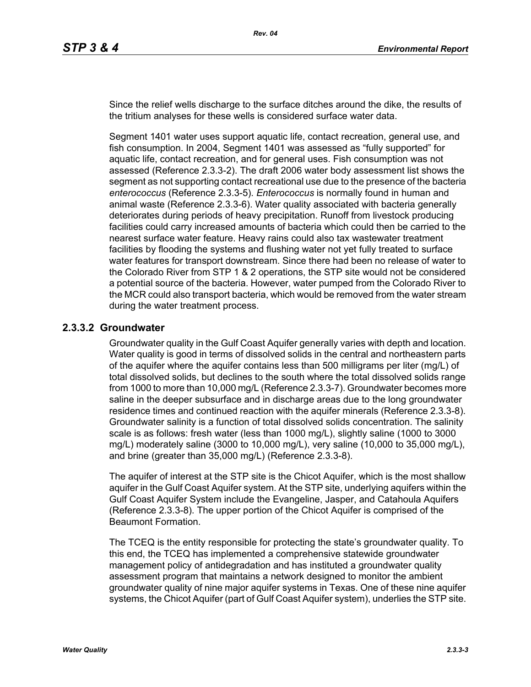Since the relief wells discharge to the surface ditches around the dike, the results of the tritium analyses for these wells is considered surface water data.

Segment 1401 water uses support aquatic life, contact recreation, general use, and fish consumption. In 2004, Segment 1401 was assessed as "fully supported" for aquatic life, contact recreation, and for general uses. Fish consumption was not assessed (Reference 2.3.3-2). The draft 2006 water body assessment list shows the segment as not supporting contact recreational use due to the presence of the bacteria *enterococcus* (Reference 2.3.3-5). *Enterococcus* is normally found in human and animal waste (Reference 2.3.3-6). Water quality associated with bacteria generally deteriorates during periods of heavy precipitation. Runoff from livestock producing facilities could carry increased amounts of bacteria which could then be carried to the nearest surface water feature. Heavy rains could also tax wastewater treatment facilities by flooding the systems and flushing water not yet fully treated to surface water features for transport downstream. Since there had been no release of water to the Colorado River from STP 1 & 2 operations, the STP site would not be considered a potential source of the bacteria. However, water pumped from the Colorado River to the MCR could also transport bacteria, which would be removed from the water stream during the water treatment process.

### **2.3.3.2 Groundwater**

Groundwater quality in the Gulf Coast Aquifer generally varies with depth and location. Water quality is good in terms of dissolved solids in the central and northeastern parts of the aquifer where the aquifer contains less than 500 milligrams per liter (mg/L) of total dissolved solids, but declines to the south where the total dissolved solids range from 1000 to more than 10,000 mg/L (Reference 2.3.3-7). Groundwater becomes more saline in the deeper subsurface and in discharge areas due to the long groundwater residence times and continued reaction with the aquifer minerals (Reference 2.3.3-8). Groundwater salinity is a function of total dissolved solids concentration. The salinity scale is as follows: fresh water (less than 1000 mg/L), slightly saline (1000 to 3000 mg/L) moderately saline (3000 to 10,000 mg/L), very saline (10,000 to 35,000 mg/L), and brine (greater than 35,000 mg/L) (Reference 2.3.3-8).

The aquifer of interest at the STP site is the Chicot Aquifer, which is the most shallow aquifer in the Gulf Coast Aquifer system. At the STP site, underlying aquifers within the Gulf Coast Aquifer System include the Evangeline, Jasper, and Catahoula Aquifers (Reference 2.3.3-8). The upper portion of the Chicot Aquifer is comprised of the Beaumont Formation.

The TCEQ is the entity responsible for protecting the state's groundwater quality. To this end, the TCEQ has implemented a comprehensive statewide groundwater management policy of antidegradation and has instituted a groundwater quality assessment program that maintains a network designed to monitor the ambient groundwater quality of nine major aquifer systems in Texas. One of these nine aquifer systems, the Chicot Aquifer (part of Gulf Coast Aquifer system), underlies the STP site.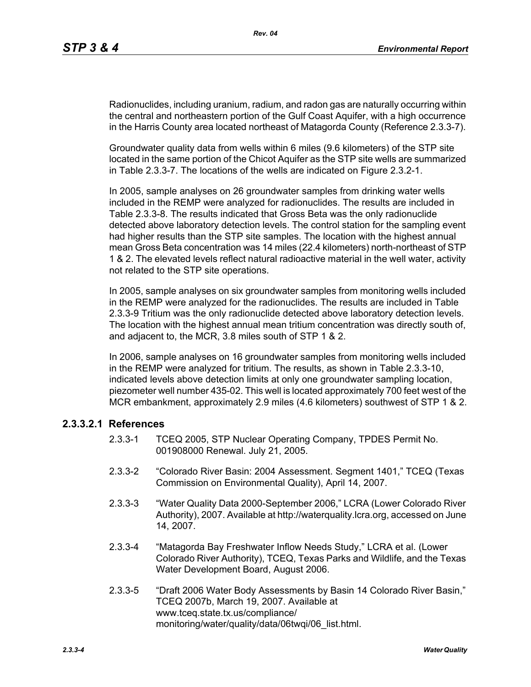Radionuclides, including uranium, radium, and radon gas are naturally occurring within the central and northeastern portion of the Gulf Coast Aquifer, with a high occurrence in the Harris County area located northeast of Matagorda County (Reference 2.3.3-7).

Groundwater quality data from wells within 6 miles (9.6 kilometers) of the STP site located in the same portion of the Chicot Aquifer as the STP site wells are summarized in Table 2.3.3-7. The locations of the wells are indicated on Figure 2.3.2-1.

In 2005, sample analyses on 26 groundwater samples from drinking water wells included in the REMP were analyzed for radionuclides. The results are included in Table 2.3.3-8. The results indicated that Gross Beta was the only radionuclide detected above laboratory detection levels. The control station for the sampling event had higher results than the STP site samples. The location with the highest annual mean Gross Beta concentration was 14 miles (22.4 kilometers) north-northeast of STP 1 & 2. The elevated levels reflect natural radioactive material in the well water, activity not related to the STP site operations.

In 2005, sample analyses on six groundwater samples from monitoring wells included in the REMP were analyzed for the radionuclides. The results are included in Table 2.3.3-9 Tritium was the only radionuclide detected above laboratory detection levels. The location with the highest annual mean tritium concentration was directly south of, and adjacent to, the MCR, 3.8 miles south of STP 1 & 2.

In 2006, sample analyses on 16 groundwater samples from monitoring wells included in the REMP were analyzed for tritium. The results, as shown in Table 2.3.3-10, indicated levels above detection limits at only one groundwater sampling location, piezometer well number 435-02. This well is located approximately 700 feet west of the MCR embankment, approximately 2.9 miles (4.6 kilometers) southwest of STP 1 & 2.

### **2.3.3.2.1 References**

- 2.3.3-1 TCEQ 2005, STP Nuclear Operating Company, TPDES Permit No. 001908000 Renewal. July 21, 2005.
- 2.3.3-2 "Colorado River Basin: 2004 Assessment. Segment 1401," TCEQ (Texas Commission on Environmental Quality), April 14, 2007.
- 2.3.3-3 "Water Quality Data 2000-September 2006," LCRA (Lower Colorado River Authority), 2007. Available at http://waterquality.lcra.org, accessed on June 14, 2007.
- 2.3.3-4 "Matagorda Bay Freshwater Inflow Needs Study," LCRA et al. (Lower Colorado River Authority), TCEQ, Texas Parks and Wildlife, and the Texas Water Development Board, August 2006.
- 2.3.3-5 "Draft 2006 Water Body Assessments by Basin 14 Colorado River Basin," TCEQ 2007b, March 19, 2007. Available at www.tceq.state.tx.us/compliance/ monitoring/water/quality/data/06twqi/06\_list.html.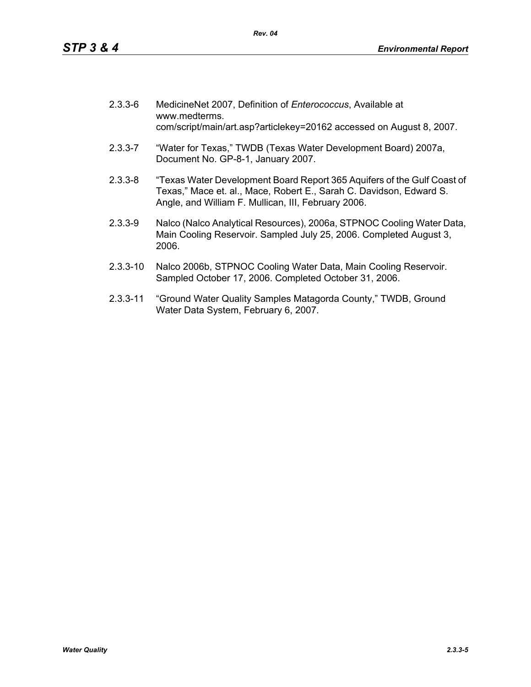| $2.3.3 - 6$ | MedicineNet 2007, Definition of Enterococcus, Available at<br>www.medterms.<br>com/script/main/art.asp?articlekey=20162 accessed on August 8, 2007.                                                   |
|-------------|-------------------------------------------------------------------------------------------------------------------------------------------------------------------------------------------------------|
| $2.3.3 - 7$ | "Water for Texas," TWDB (Texas Water Development Board) 2007a,<br>Document No. GP-8-1, January 2007.                                                                                                  |
| $2.3.3 - 8$ | "Texas Water Development Board Report 365 Aquifers of the Gulf Coast of<br>Texas," Mace et. al., Mace, Robert E., Sarah C. Davidson, Edward S.<br>Angle, and William F. Mullican, III, February 2006. |

- 2.3.3-9 Nalco (Nalco Analytical Resources), 2006a, STPNOC Cooling Water Data, Main Cooling Reservoir. Sampled July 25, 2006. Completed August 3, 2006.
- 2.3.3-10 Nalco 2006b, STPNOC Cooling Water Data, Main Cooling Reservoir. Sampled October 17, 2006. Completed October 31, 2006.
- 2.3.3-11 "Ground Water Quality Samples Matagorda County," TWDB, Ground Water Data System, February 6, 2007.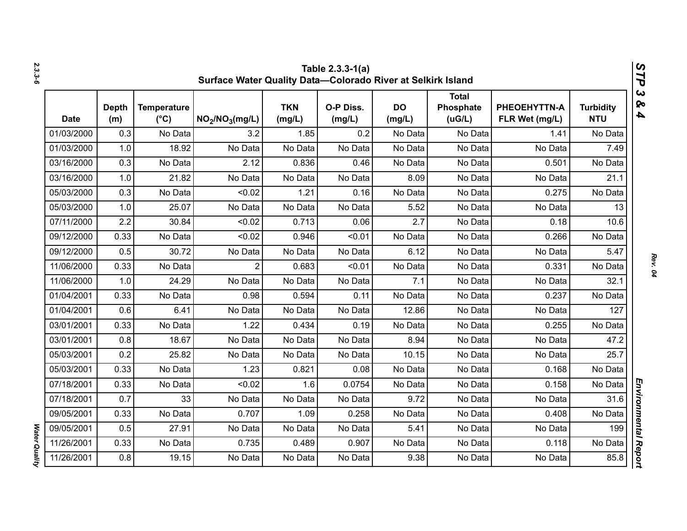|             |                     |                                     | Surface Water Quality Data-Colorado River at Selkirk Island |                      | Table 2.3.3-1(a)    |                     |                                      |                                |                                | STP                                            |
|-------------|---------------------|-------------------------------------|-------------------------------------------------------------|----------------------|---------------------|---------------------|--------------------------------------|--------------------------------|--------------------------------|------------------------------------------------|
| <b>Date</b> | <b>Depth</b><br>(m) | <b>Temperature</b><br>$(^{\circ}C)$ | NO <sub>2</sub> /NO <sub>3</sub> (mg/L)                     | <b>TKN</b><br>(mg/L) | O-P Diss.<br>(mg/L) | <b>DO</b><br>(mg/L) | <b>Total</b><br>Phosphate<br>( uG/L) | PHEOEHYTTN-A<br>FLR Wet (mg/L) | <b>Turbidity</b><br><b>NTU</b> | $\boldsymbol{\omega}$<br>ବ<br>$\blacktriangle$ |
| 01/03/2000  | 0.3                 | No Data                             | 3.2                                                         | 1.85                 | 0.2                 | No Data             | No Data                              | 1.41                           | No Data                        |                                                |
| 01/03/2000  | 1.0                 | 18.92                               | No Data                                                     | No Data              | No Data             | No Data             | No Data                              | No Data                        | 7.49                           |                                                |
| 03/16/2000  | 0.3                 | No Data                             | 2.12                                                        | 0.836                | 0.46                | No Data             | No Data                              | 0.501                          | No Data                        |                                                |
| 03/16/2000  | 1.0                 | 21.82                               | No Data                                                     | No Data              | No Data             | 8.09                | No Data                              | No Data                        | 21.1                           |                                                |
| 05/03/2000  | 0.3                 | No Data                             | < 0.02                                                      | 1.21                 | 0.16                | No Data             | No Data                              | 0.275                          | No Data                        |                                                |
| 05/03/2000  | 1.0                 | 25.07                               | No Data                                                     | No Data              | No Data             | 5.52                | No Data                              | No Data                        | 13                             |                                                |
| 07/11/2000  | 2.2                 | 30.84                               | < 0.02                                                      | 0.713                | 0.06                | 2.7                 | No Data                              | 0.18                           | 10.6                           |                                                |
| 09/12/2000  | 0.33                | No Data                             | < 0.02                                                      | 0.946                | < 0.01              | No Data             | No Data                              | 0.266                          | No Data                        |                                                |
| 09/12/2000  | 0.5                 | 30.72                               | No Data                                                     | No Data              | No Data             | 6.12                | No Data                              | No Data                        | 5.47                           |                                                |
| 11/06/2000  | 0.33                | No Data                             | $\overline{2}$                                              | 0.683                | < 0.01              | No Data             | No Data                              | 0.331                          | No Data                        |                                                |
| 11/06/2000  | 1.0                 | 24.29                               | No Data                                                     | No Data              | No Data             | 7.1                 | No Data                              | No Data                        | 32.1                           |                                                |
| 01/04/2001  | 0.33                | No Data                             | 0.98                                                        | 0.594                | 0.11                | No Data             | No Data                              | 0.237                          | No Data                        |                                                |
| 01/04/2001  | 0.6                 | 6.41                                | No Data                                                     | No Data              | No Data             | 12.86               | No Data                              | No Data                        | 127                            |                                                |
| 03/01/2001  | 0.33                | No Data                             | 1.22                                                        | 0.434                | 0.19                | No Data             | No Data                              | 0.255                          | No Data                        |                                                |
| 03/01/2001  | 0.8                 | 18.67                               | No Data                                                     | No Data              | No Data             | 8.94                | No Data                              | No Data                        | 47.2                           |                                                |
| 05/03/2001  | 0.2                 | 25.82                               | No Data                                                     | No Data              | No Data             | 10.15               | No Data                              | No Data                        | 25.7                           |                                                |
| 05/03/2001  | 0.33                | No Data                             | 1.23                                                        | 0.821                | 0.08                | No Data             | No Data                              | 0.168                          | No Data                        |                                                |
| 07/18/2001  | 0.33                | No Data                             | < 0.02                                                      | 1.6                  | 0.0754              | No Data             | No Data                              | 0.158                          | No Data                        |                                                |
| 07/18/2001  | 0.7                 | 33                                  | No Data                                                     | No Data              | No Data             | 9.72                | No Data                              | No Data                        | 31.6                           |                                                |
| 09/05/2001  | 0.33                | No Data                             | 0.707                                                       | 1.09                 | 0.258               | No Data             | No Data                              | 0.408                          | No Data                        |                                                |
| 09/05/2001  | 0.5                 | 27.91                               | No Data                                                     | No Data              | No Data             | 5.41                | No Data                              | No Data                        | 199                            |                                                |
| 11/26/2001  | 0.33                | No Data                             | 0.735                                                       | 0.489                | 0.907               | No Data             | No Data                              | 0.118                          | No Data                        |                                                |
| 11/26/2001  | 0.8                 | 19.15                               | No Data                                                     | No Data              | No Data             | 9.38                | No Data                              | No Data                        | 85.8                           | Environmental Report                           |

*2.3.3-6*

*Rev. 04*

**Water Quality** *Water Quality*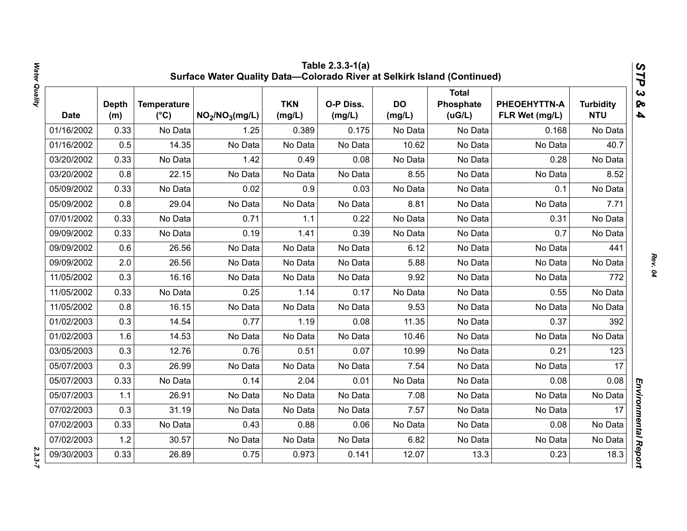|             |                     |                                     | Surface Water Quality Data-Colorado River at Selkirk Island (Continued) |                      | Table 2.3.3-1(a)    |                     |                                     |                                |                                | STP                                              |
|-------------|---------------------|-------------------------------------|-------------------------------------------------------------------------|----------------------|---------------------|---------------------|-------------------------------------|--------------------------------|--------------------------------|--------------------------------------------------|
| <b>Date</b> | <b>Depth</b><br>(m) | <b>Temperature</b><br>$(^{\circ}C)$ | NO <sub>2</sub> /NO <sub>3</sub> (mg/L)                                 | <b>TKN</b><br>(mg/L) | O-P Diss.<br>(mg/L) | <b>DO</b><br>(mg/L) | <b>Total</b><br>Phosphate<br>(uG/L) | PHEOEHYTTN-A<br>FLR Wet (mg/L) | <b>Turbidity</b><br><b>NTU</b> | $\boldsymbol{\omega}$<br>ନ୍ତ<br>$\blacktriangle$ |
| 01/16/2002  | 0.33                | No Data                             | 1.25                                                                    | 0.389                | 0.175               | No Data             | No Data                             | 0.168                          | No Data                        |                                                  |
| 01/16/2002  | 0.5                 | 14.35                               | No Data                                                                 | No Data              | No Data             | 10.62               | No Data                             | No Data                        | 40.7                           |                                                  |
| 03/20/2002  | 0.33                | No Data                             | 1.42                                                                    | 0.49                 | 0.08                | No Data             | No Data                             | 0.28                           | No Data                        |                                                  |
| 03/20/2002  | 0.8                 | 22.15                               | No Data                                                                 | No Data              | No Data             | 8.55                | No Data                             | No Data                        | 8.52                           |                                                  |
| 05/09/2002  | 0.33                | No Data                             | 0.02                                                                    | 0.9                  | 0.03                | No Data             | No Data                             | 0.1                            | No Data                        |                                                  |
| 05/09/2002  | 0.8                 | 29.04                               | No Data                                                                 | No Data              | No Data             | 8.81                | No Data                             | No Data                        | 7.71                           |                                                  |
| 07/01/2002  | 0.33                | No Data                             | 0.71                                                                    | 1.1                  | 0.22                | No Data             | No Data                             | 0.31                           | No Data                        |                                                  |
| 09/09/2002  | 0.33                | No Data                             | 0.19                                                                    | 1.41                 | 0.39                | No Data             | No Data                             | 0.7                            | No Data                        |                                                  |
| 09/09/2002  | 0.6                 | 26.56                               | No Data                                                                 | No Data              | No Data             | 6.12                | No Data                             | No Data                        | 441                            |                                                  |
| 09/09/2002  | 2.0                 | 26.56                               | No Data                                                                 | No Data              | No Data             | 5.88                | No Data                             | No Data                        | No Data                        |                                                  |
| 11/05/2002  | 0.3                 | 16.16                               | No Data                                                                 | No Data              | No Data             | 9.92                | No Data                             | No Data                        | 772                            |                                                  |
| 11/05/2002  | 0.33                | No Data                             | 0.25                                                                    | 1.14                 | 0.17                | No Data             | No Data                             | 0.55                           | No Data                        |                                                  |
| 11/05/2002  | 0.8                 | 16.15                               | No Data                                                                 | No Data              | No Data             | 9.53                | No Data                             | No Data                        | No Data                        |                                                  |
| 01/02/2003  | 0.3                 | 14.54                               | 0.77                                                                    | 1.19                 | 0.08                | 11.35               | No Data                             | 0.37                           | 392                            |                                                  |
| 01/02/2003  | 1.6                 | 14.53                               | No Data                                                                 | No Data              | No Data             | 10.46               | No Data                             | No Data                        | No Data                        |                                                  |
| 03/05/2003  | 0.3                 | 12.76                               | 0.76                                                                    | 0.51                 | 0.07                | 10.99               | No Data                             | 0.21                           | 123                            |                                                  |
| 05/07/2003  | 0.3                 | 26.99                               | No Data                                                                 | No Data              | No Data             | 7.54                | No Data                             | No Data                        | 17                             |                                                  |
| 05/07/2003  | 0.33                | No Data                             | 0.14                                                                    | 2.04                 | 0.01                | No Data             | No Data                             | 0.08                           | 0.08                           |                                                  |
| 05/07/2003  | 1.1                 | 26.91                               | No Data                                                                 | No Data              | No Data             | 7.08                | No Data                             | No Data                        | No Data                        |                                                  |
| 07/02/2003  | 0.3                 | 31.19                               | No Data                                                                 | No Data              | No Data             | 7.57                | No Data                             | No Data                        | 17                             |                                                  |
| 07/02/2003  | 0.33                | No Data                             | 0.43                                                                    | 0.88                 | 0.06                | No Data             | No Data                             | 0.08                           | No Data                        |                                                  |
| 07/02/2003  | 1.2                 | 30.57                               | No Data                                                                 | No Data              | No Data             | 6.82                | No Data                             | No Data                        | No Data                        |                                                  |
| 09/30/2003  | 0.33                | 26.89                               | 0.75                                                                    | 0.973                | 0.141               | 12.07               | 13.3                                | 0.23                           | 18.3                           | Environmental Report                             |

 $2.3.3 - 7$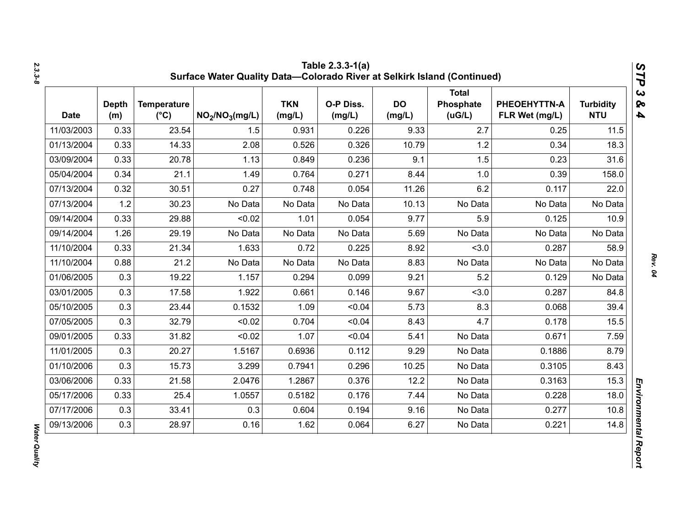| <b>Date</b> | <b>Depth</b><br>(m) | <b>Temperature</b><br>$(^{\circ}C)$ | NO <sub>2</sub> /NO <sub>3</sub> (mg/L) | <b>TKN</b><br>(mg/L) | O-P Diss.<br>(mg/L) | <b>DO</b><br>(mg/L) | <b>Total</b><br>Phosphate<br>(UG/L) | PHEOEHYTTN-A<br>FLR Wet (mg/L) | <b>Turbidity</b><br><b>NTU</b> |
|-------------|---------------------|-------------------------------------|-----------------------------------------|----------------------|---------------------|---------------------|-------------------------------------|--------------------------------|--------------------------------|
| 11/03/2003  | 0.33                | 23.54                               | 1.5                                     | 0.931                | 0.226               | 9.33                | 2.7                                 | 0.25                           | 11.5                           |
| 01/13/2004  | 0.33                | 14.33                               | 2.08                                    | 0.526                | 0.326               | 10.79               | 1.2                                 | 0.34                           | 18.3                           |
| 03/09/2004  | 0.33                | 20.78                               | 1.13                                    | 0.849                | 0.236               | 9.1                 | 1.5                                 | 0.23                           | 31.6                           |
| 05/04/2004  | 0.34                | 21.1                                | 1.49                                    | 0.764                | 0.271               | 8.44                | 1.0                                 | 0.39                           | 158.0                          |
| 07/13/2004  | 0.32                | 30.51                               | 0.27                                    | 0.748                | 0.054               | 11.26               | 6.2                                 | 0.117                          | 22.0                           |
| 07/13/2004  | 1.2                 | 30.23                               | No Data                                 | No Data              | No Data             | 10.13               | No Data                             | No Data                        | No Data                        |
| 09/14/2004  | 0.33                | 29.88                               | < 0.02                                  | 1.01                 | 0.054               | 9.77                | 5.9                                 | 0.125                          | 10.9                           |
| 09/14/2004  | 1.26                | 29.19                               | No Data                                 | No Data              | No Data             | 5.69                | No Data                             | No Data                        | No Data                        |
| 11/10/2004  | 0.33                | 21.34                               | 1.633                                   | 0.72                 | 0.225               | 8.92                | < 3.0                               | 0.287                          | 58.9                           |
| 11/10/2004  | 0.88                | 21.2                                | No Data                                 | No Data              | No Data             | 8.83                | No Data                             | No Data                        | No Data                        |
| 01/06/2005  | 0.3                 | 19.22                               | 1.157                                   | 0.294                | 0.099               | 9.21                | 5.2                                 | 0.129                          | No Data                        |
| 03/01/2005  | 0.3                 | 17.58                               | 1.922                                   | 0.661                | 0.146               | 9.67                | < 3.0                               | 0.287                          | 84.8                           |
| 05/10/2005  | 0.3                 | 23.44                               | 0.1532                                  | 1.09                 | < 0.04              | 5.73                | 8.3                                 | 0.068                          | 39.4                           |
| 07/05/2005  | 0.3                 | 32.79                               | < 0.02                                  | 0.704                | < 0.04              | 8.43                | 4.7                                 | 0.178                          | 15.5                           |
| 09/01/2005  | 0.33                | 31.82                               | < 0.02                                  | 1.07                 | < 0.04              | 5.41                | No Data                             | 0.671                          | 7.59                           |
| 11/01/2005  | 0.3                 | 20.27                               | 1.5167                                  | 0.6936               | 0.112               | 9.29                | No Data                             | 0.1886                         | 8.79                           |
| 01/10/2006  | 0.3                 | 15.73                               | 3.299                                   | 0.7941               | 0.296               | 10.25               | No Data                             | 0.3105                         | 8.43                           |
| 03/06/2006  | 0.33                | 21.58                               | 2.0476                                  | 1.2867               | 0.376               | 12.2                | No Data                             | 0.3163                         | 15.3                           |
| 05/17/2006  | 0.33                | 25.4                                | 1.0557                                  | 0.5182               | 0.176               | 7.44                | No Data                             | 0.228                          | 18.0                           |
| 07/17/2006  | 0.3                 | 33.41                               | 0.3                                     | 0.604                | 0.194               | 9.16                | No Data                             | 0.277                          | 10.8                           |
| 09/13/2006  | 0.3                 | 28.97                               | 0.16                                    | 1.62                 | 0.064               | 6.27                | No Data                             | 0.221                          | 14.8                           |

**Water Quality** *Water Quality*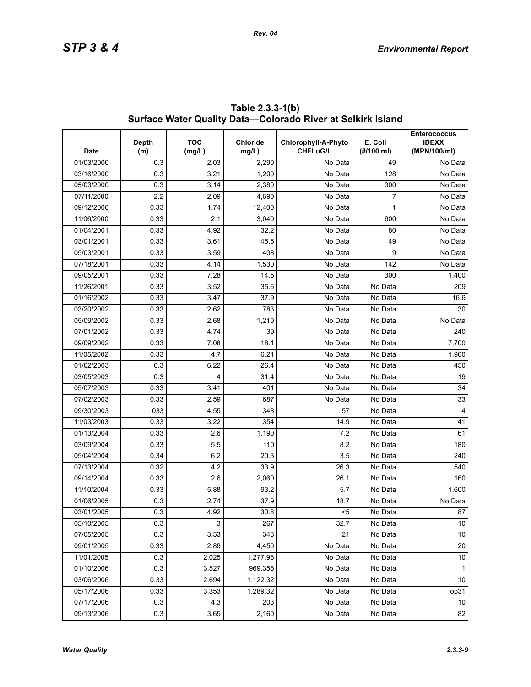| <b>Date</b> | Depth<br>(m) | <b>TOC</b><br>(mg/L) | <b>Chloride</b><br>mg/L) | Chlorophyll-A-Phyto<br><b>CHFLuG/L</b> | E. Coli<br>(#/100 ml) | <b>Enterococcus</b><br><b>IDEXX</b><br>(MPN/100/ml) |
|-------------|--------------|----------------------|--------------------------|----------------------------------------|-----------------------|-----------------------------------------------------|
| 01/03/2000  | 0.3          | 2.03                 | 2,290                    | No Data                                | 49                    | No Data                                             |
| 03/16/2000  | 0.3          | 3.21                 | 1,200                    | No Data                                | 128                   | No Data                                             |
| 05/03/2000  | 0.3          | 3.14                 | 2,380                    | No Data                                | 300                   | No Data                                             |
| 07/11/2000  | 2.2          | 2.09                 | 4,690                    | No Data                                | $\overline{7}$        | No Data                                             |
| 09/12/2000  | 0.33         | 1.74                 | 12,400                   | No Data                                | 1                     | No Data                                             |
| 11/06/2000  | 0.33         | 2.1                  | 3,040                    | No Data                                | 600                   | No Data                                             |
| 01/04/2001  | 0.33         | 4.92                 | 32.2                     | No Data                                | 80                    | No Data                                             |
| 03/01/2001  | 0.33         | 3.61                 | 45.5                     | No Data                                | 49                    | No Data                                             |
| 05/03/2001  | 0.33         | 3.59                 | 408                      | No Data                                | 9                     | No Data                                             |
| 07/18/2001  | 0.33         | 4.14                 | 1,530                    | No Data                                | 142                   | No Data                                             |
| 09/05/2001  | 0.33         | 7.28                 | 14.5                     | No Data                                | 300                   | 1,400                                               |
| 11/26/2001  | 0.33         | 3.52                 | 35.6                     | No Data                                | No Data               | 209                                                 |
| 01/16/2002  | 0.33         | 3.47                 | 37.9                     | No Data                                | No Data               | 16.6                                                |
| 03/20/2002  | 0.33         | 2.62                 | 783                      | No Data                                | No Data               | 30                                                  |
| 05/09/2002  | 0.33         | 2.68                 | 1,210                    | No Data                                | No Data               | No Data                                             |
| 07/01/2002  | 0.33         | 4.74                 | 39                       | No Data                                | No Data               | 240                                                 |
| 09/09/2002  | 0.33         | 7.08                 | 18.1                     | No Data                                | No Data               | 7,700                                               |
| 11/05/2002  | 0.33         | 4.7                  | 6.21                     | No Data                                | No Data               | 1,900                                               |
| 01/02/2003  | 0.3          | 6.22                 | 26.4                     | No Data                                | No Data               | 450                                                 |
| 03/05/2003  | 0.3          | 4                    | 31.4                     | No Data                                | No Data               | 19                                                  |
| 05/07/2003  | 0.33         | 3.41                 | 401                      | No Data                                | No Data               | 34                                                  |
| 07/02/2003  | 0.33         | 2.59                 | 687                      | No Data                                | No Data               | 33                                                  |
| 09/30/2003  | .033         | 4.55                 | 348                      | 57                                     | No Data               | $\overline{4}$                                      |
| 11/03/2003  | 0.33         | 3.22                 | 354                      | 14.9                                   | No Data               | 41                                                  |
| 01/13/2004  | 0.33         | 2.6                  | 1,190                    | 7.2                                    | No Data               | 61                                                  |
| 03/09/2004  | 0.33         | 5.5                  | 110                      | 8.2                                    | No Data               | 180                                                 |
| 05/04/2004  | 0.34         | 6.2                  | 20.3                     | 3.5                                    | No Data               | 240                                                 |
| 07/13/2004  | 0.32         | 4.2                  | 33.9                     | 26.3                                   | No Data               | 540                                                 |
| 09/14/2004  | 0.33         | 2.6                  | 2,060                    | 26.1                                   | No Data               | 160                                                 |
| 11/10/2004  | 0.33         | 5.88                 | 93.2                     | 5.7                                    | No Data               | 1,600                                               |
| 01/06/2005  | 0.3          | 2.74                 | 37.9                     | 18.7                                   | No Data               | No Data                                             |
| 03/01/2005  | 0.3          | 4.92                 | 30.8                     | $5$                                    | No Data               | 87                                                  |
| 05/10/2005  | 0.3          | 3                    | 267                      | 32.7                                   | No Data               | 10                                                  |
| 07/05/2005  | 0.3          | 3.53                 | 343                      | 21                                     | No Data               | $10\,$                                              |
| 09/01/2005  | 0.33         | 2.89                 | 4,450                    | No Data                                | No Data               | 20                                                  |
| 11/01/2005  | 0.3          | 2.025                | 1,277.96                 | No Data                                | No Data               | $10\,$                                              |
| 01/10/2006  | 0.3          | 3.527                | 969.356                  | No Data                                | No Data               | $\mathbf{1}$                                        |
| 03/06/2006  | 0.33         | 2.694                | 1,122.32                 | No Data                                | No Data               | 10                                                  |
| 05/17/2006  | 0.33         | 3.353                | 1,289.32                 | $\overline{No}$ Data                   | No Data               | op31                                                |
| 07/17/2006  | 0.3          | 4.3                  | 203                      | No Data                                | No Data               | 10                                                  |
| 09/13/2006  | 0.3          | 3.65                 | 2,160                    | No Data                                | No Data               | 82                                                  |

**Table 2.3.3-1(b) Surface Water Quality Data—Colorado River at Selkirk Island**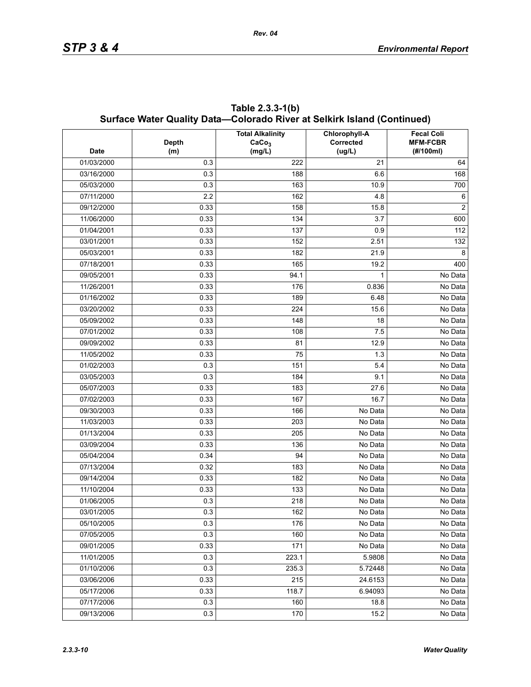|             | Surface Water Quality Data—Colorado River at Selkirk Island (Continued) |                                                        |                                      |                                                   |  |  |  |  |  |  |
|-------------|-------------------------------------------------------------------------|--------------------------------------------------------|--------------------------------------|---------------------------------------------------|--|--|--|--|--|--|
| <b>Date</b> | Depth<br>(m)                                                            | <b>Total Alkalinity</b><br>CaCo <sub>3</sub><br>(mg/L) | Chlorophyll-A<br>Corrected<br>(ug/L) | <b>Fecal Coli</b><br><b>MFM-FCBR</b><br>(#/100ml) |  |  |  |  |  |  |
| 01/03/2000  | 0.3                                                                     | 222                                                    | 21                                   | 64                                                |  |  |  |  |  |  |
| 03/16/2000  | 0.3                                                                     | 188                                                    | 6.6                                  | 168                                               |  |  |  |  |  |  |
| 05/03/2000  | 0.3                                                                     | 163                                                    | 10.9                                 | 700                                               |  |  |  |  |  |  |
| 07/11/2000  | 2.2                                                                     | 162                                                    | 4.8                                  | 6                                                 |  |  |  |  |  |  |
| 09/12/2000  | 0.33                                                                    | 158                                                    | 15.8                                 | $\overline{c}$                                    |  |  |  |  |  |  |
| 11/06/2000  | 0.33                                                                    | 134                                                    | 3.7                                  | 600                                               |  |  |  |  |  |  |
| 01/04/2001  | 0.33                                                                    | 137                                                    | 0.9                                  | 112                                               |  |  |  |  |  |  |
| 03/01/2001  | 0.33                                                                    | 152                                                    | 2.51                                 | 132                                               |  |  |  |  |  |  |
| 05/03/2001  | 0.33                                                                    | 182                                                    | 21.9                                 | 8                                                 |  |  |  |  |  |  |
| 07/18/2001  | 0.33                                                                    | 165                                                    | 19.2                                 | 400                                               |  |  |  |  |  |  |
| 09/05/2001  | 0.33                                                                    | 94.1                                                   | 1                                    | No Data                                           |  |  |  |  |  |  |
| 11/26/2001  | 0.33                                                                    | 176                                                    | 0.836                                | No Data                                           |  |  |  |  |  |  |
| 01/16/2002  | 0.33                                                                    | 189                                                    | 6.48                                 | No Data                                           |  |  |  |  |  |  |
| 03/20/2002  | 0.33                                                                    | 224                                                    | 15.6                                 | No Data                                           |  |  |  |  |  |  |
| 05/09/2002  | 0.33                                                                    | 148                                                    | 18                                   | No Data                                           |  |  |  |  |  |  |
| 07/01/2002  | 0.33                                                                    | 108                                                    | 7.5                                  | No Data                                           |  |  |  |  |  |  |
| 09/09/2002  | 0.33                                                                    | 81                                                     | 12.9                                 | No Data                                           |  |  |  |  |  |  |
| 11/05/2002  | 0.33                                                                    | 75                                                     | 1.3                                  | No Data                                           |  |  |  |  |  |  |
| 01/02/2003  | 0.3                                                                     | 151                                                    | 5.4                                  | No Data                                           |  |  |  |  |  |  |
| 03/05/2003  | 0.3                                                                     | 184                                                    | 9.1                                  | No Data                                           |  |  |  |  |  |  |
| 05/07/2003  | 0.33                                                                    | 183                                                    | 27.6                                 | No Data                                           |  |  |  |  |  |  |
| 07/02/2003  | 0.33                                                                    | 167                                                    | 16.7                                 | No Data                                           |  |  |  |  |  |  |
| 09/30/2003  | 0.33                                                                    | 166                                                    | No Data                              | No Data                                           |  |  |  |  |  |  |
| 11/03/2003  | 0.33                                                                    | 203                                                    | No Data                              | No Data                                           |  |  |  |  |  |  |
| 01/13/2004  | 0.33                                                                    | 205                                                    | No Data                              | No Data                                           |  |  |  |  |  |  |
| 03/09/2004  | 0.33                                                                    | 136                                                    | No Data                              | No Data                                           |  |  |  |  |  |  |
| 05/04/2004  | 0.34                                                                    | 94                                                     | No Data                              | No Data                                           |  |  |  |  |  |  |
| 07/13/2004  | 0.32                                                                    | 183                                                    | No Data                              | No Data                                           |  |  |  |  |  |  |
| 09/14/2004  | 0.33                                                                    | 182                                                    | No Data                              | No Data                                           |  |  |  |  |  |  |
| 11/10/2004  | 0.33                                                                    | 133                                                    | No Data                              | No Data                                           |  |  |  |  |  |  |
| 01/06/2005  | 0.3                                                                     | 218                                                    | No Data                              | No Data                                           |  |  |  |  |  |  |
| 03/01/2005  | 0.3                                                                     | 162                                                    | No Data                              | No Data                                           |  |  |  |  |  |  |
| 05/10/2005  | 0.3                                                                     | 176                                                    | No Data                              | No Data                                           |  |  |  |  |  |  |
| 07/05/2005  | 0.3                                                                     | 160                                                    | No Data                              | No Data                                           |  |  |  |  |  |  |
| 09/01/2005  | 0.33                                                                    | 171                                                    | No Data                              | No Data                                           |  |  |  |  |  |  |
| 11/01/2005  | 0.3                                                                     | 223.1                                                  | 5.9808                               | No Data                                           |  |  |  |  |  |  |
| 01/10/2006  | 0.3                                                                     | 235.3                                                  | 5.72448                              | No Data                                           |  |  |  |  |  |  |
| 03/06/2006  | 0.33                                                                    | 215                                                    | 24.6153                              | No Data                                           |  |  |  |  |  |  |
| 05/17/2006  | 0.33                                                                    | 118.7                                                  | 6.94093                              | No Data                                           |  |  |  |  |  |  |
| 07/17/2006  | 0.3                                                                     | 160                                                    | 18.8                                 | No Data                                           |  |  |  |  |  |  |
| 09/13/2006  | 0.3                                                                     | 170                                                    | 15.2                                 | No Data                                           |  |  |  |  |  |  |

**Table 2.3.3-1(b) Surface Water Quality Data—Colorado River at Selkirk Island (Continued)**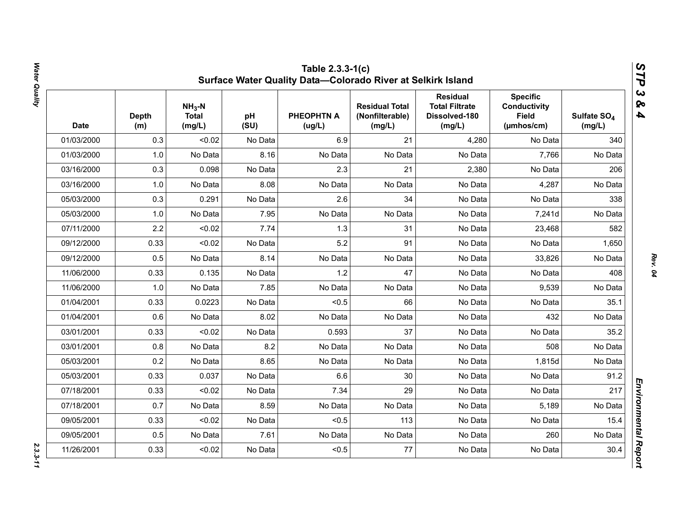| <b>Date</b> | <b>Depth</b><br>(m) | $NH3-N$<br><b>Total</b><br>(mg/L) | pH<br>(SU) | <b>PHEOPHTN A</b><br>(ug/L) | <b>Residual Total</b><br>(Nonfilterable)<br>(mg/L) | <b>Residual</b><br><b>Total Filtrate</b><br>Dissolved-180<br>(mg/L) | <b>Specific</b><br><b>Conductivity</b><br><b>Field</b><br>(µmhos/cm) | Sulfate SO <sub>4</sub><br>(mg/L) |
|-------------|---------------------|-----------------------------------|------------|-----------------------------|----------------------------------------------------|---------------------------------------------------------------------|----------------------------------------------------------------------|-----------------------------------|
| 01/03/2000  | 0.3                 | < 0.02                            | No Data    | 6.9                         | 21                                                 | 4,280                                                               | No Data                                                              | 340                               |
| 01/03/2000  | 1.0                 | No Data                           | 8.16       | No Data                     | No Data                                            | No Data                                                             | 7,766                                                                | No Data                           |
| 03/16/2000  | 0.3                 | 0.098                             | No Data    | 2.3                         | 21                                                 | 2,380                                                               | No Data                                                              | 206                               |
| 03/16/2000  | 1.0                 | No Data                           | 8.08       | No Data                     | No Data                                            | No Data                                                             | 4,287                                                                | No Data                           |
| 05/03/2000  | 0.3                 | 0.291                             | No Data    | 2.6                         | 34                                                 | No Data                                                             | No Data                                                              | 338                               |
| 05/03/2000  | 1.0                 | No Data                           | 7.95       | No Data                     | No Data                                            | No Data                                                             | 7,241d                                                               | No Data                           |
| 07/11/2000  | 2.2                 | < 0.02                            | 7.74       | 1.3                         | 31                                                 | No Data                                                             | 23,468                                                               | 582                               |
| 09/12/2000  | 0.33                | < 0.02                            | No Data    | 5.2                         | 91                                                 | No Data                                                             | No Data                                                              | 1,650                             |
| 09/12/2000  | 0.5                 | No Data                           | 8.14       | No Data                     | No Data                                            | No Data                                                             | 33,826                                                               | No Data                           |
| 11/06/2000  | 0.33                | 0.135                             | No Data    | 1.2                         | 47                                                 | No Data                                                             | No Data                                                              | 408                               |
| 11/06/2000  | 1.0                 | No Data                           | 7.85       | No Data                     | No Data                                            | No Data                                                             | 9,539                                                                | No Data                           |
| 01/04/2001  | 0.33                | 0.0223                            | No Data    | < 0.5                       | 66                                                 | No Data                                                             | No Data                                                              | 35.1                              |
| 01/04/2001  | 0.6                 | No Data                           | 8.02       | No Data                     | No Data                                            | No Data                                                             | 432                                                                  | No Data                           |
| 03/01/2001  | 0.33                | < 0.02                            | No Data    | 0.593                       | 37                                                 | No Data                                                             | No Data                                                              | 35.2                              |
| 03/01/2001  | 0.8                 | No Data                           | 8.2        | No Data                     | No Data                                            | No Data                                                             | 508                                                                  | No Data                           |
| 05/03/2001  | 0.2                 | No Data                           | 8.65       | No Data                     | No Data                                            | No Data                                                             | 1,815d                                                               | No Data                           |
| 05/03/2001  | 0.33                | 0.037                             | No Data    | 6.6                         | 30                                                 | No Data                                                             | No Data                                                              | 91.2                              |
| 07/18/2001  | 0.33                | < 0.02                            | No Data    | 7.34                        | 29                                                 | No Data                                                             | No Data                                                              | 217                               |
| 07/18/2001  | 0.7                 | No Data                           | 8.59       | No Data                     | No Data                                            | No Data                                                             | 5,189                                                                | No Data                           |
| 09/05/2001  | 0.33                | < 0.02                            | No Data    | < 0.5                       | 113                                                | No Data                                                             | No Data                                                              | 15.4                              |
| 09/05/2001  | 0.5                 | No Data                           | 7.61       | No Data                     | No Data                                            | No Data                                                             | 260                                                                  | No Data                           |
| 11/26/2001  | 0.33                | < 0.02                            | No Data    | < 0.5                       | 77                                                 | No Data                                                             | No Data                                                              | 30.4                              |

Water Quality *Water Quality 2.3.3-11*

 $2.3.3 - 11$ 

*Rev. 04*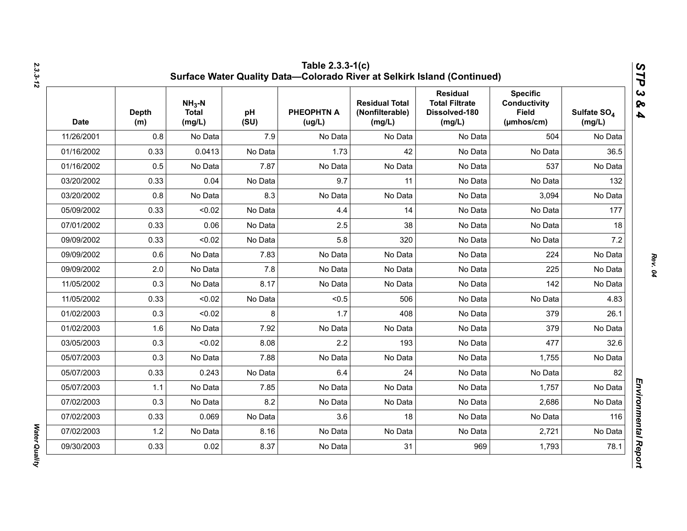| <b>Date</b> | <b>Depth</b><br>(m) | $NH3-N$<br><b>Total</b><br>(mg/L) | pH<br>(SU) | <b>PHEOPHTN A</b><br>(ug/L) | <b>Residual Total</b><br>(Nonfilterable)<br>(mg/L) | <b>Residual</b><br><b>Total Filtrate</b><br>Dissolved-180<br>(mg/L) | <b>Specific</b><br><b>Conductivity</b><br><b>Field</b><br>$(\mu m \text{hos/cm})$ | Sulfate SO <sub>4</sub><br>(mg/L) |
|-------------|---------------------|-----------------------------------|------------|-----------------------------|----------------------------------------------------|---------------------------------------------------------------------|-----------------------------------------------------------------------------------|-----------------------------------|
| 11/26/2001  | 0.8                 | No Data                           | 7.9        | No Data                     | No Data                                            | No Data                                                             | 504                                                                               | No Data                           |
| 01/16/2002  | 0.33                | 0.0413                            | No Data    | 1.73                        | 42                                                 | No Data                                                             | No Data                                                                           | 36.5                              |
| 01/16/2002  | 0.5                 | No Data                           | 7.87       | No Data                     | No Data                                            | No Data                                                             | 537                                                                               | No Data                           |
| 03/20/2002  | 0.33                | 0.04                              | No Data    | 9.7                         | 11                                                 | No Data                                                             | No Data                                                                           | 132                               |
| 03/20/2002  | 0.8                 | No Data                           | 8.3        | No Data                     | No Data                                            | No Data                                                             | 3,094                                                                             | No Data                           |
| 05/09/2002  | 0.33                | < 0.02                            | No Data    | 4.4                         | 14                                                 | No Data                                                             | No Data                                                                           | 177                               |
| 07/01/2002  | 0.33                | 0.06                              | No Data    | 2.5                         | 38                                                 | No Data                                                             | No Data                                                                           | 18                                |
| 09/09/2002  | 0.33                | < 0.02                            | No Data    | 5.8                         | 320                                                | No Data                                                             | No Data                                                                           | 7.2                               |
| 09/09/2002  | 0.6                 | No Data                           | 7.83       | No Data                     | No Data                                            | No Data                                                             | 224                                                                               | No Data                           |
| 09/09/2002  | 2.0                 | No Data                           | 7.8        | No Data                     | No Data                                            | No Data                                                             | 225                                                                               | No Data                           |
| 11/05/2002  | 0.3                 | No Data                           | 8.17       | No Data                     | No Data                                            | No Data                                                             | 142                                                                               | No Data                           |
| 11/05/2002  | 0.33                | < 0.02                            | No Data    | < 0.5                       | 506                                                | No Data                                                             | No Data                                                                           | 4.83                              |
| 01/02/2003  | 0.3                 | < 0.02                            | 8          | 1.7                         | 408                                                | No Data                                                             | 379                                                                               | 26.1                              |
| 01/02/2003  | 1.6                 | No Data                           | 7.92       | No Data                     | No Data                                            | No Data                                                             | 379                                                                               | No Data                           |
| 03/05/2003  | 0.3                 | < 0.02                            | 8.08       | 2.2                         | 193                                                | No Data                                                             | 477                                                                               | 32.6                              |
| 05/07/2003  | 0.3                 | No Data                           | 7.88       | No Data                     | No Data                                            | No Data                                                             | 1,755                                                                             | No Data                           |
| 05/07/2003  | 0.33                | 0.243                             | No Data    | 6.4                         | 24                                                 | No Data                                                             | No Data                                                                           | 82                                |
| 05/07/2003  | 1.1                 | No Data                           | 7.85       | No Data                     | No Data                                            | No Data                                                             | 1,757                                                                             | No Data                           |
| 07/02/2003  | 0.3                 | No Data                           | 8.2        | No Data                     | No Data                                            | No Data                                                             | 2,686                                                                             | No Data                           |
| 07/02/2003  | 0.33                | 0.069                             | No Data    | 3.6                         | 18                                                 | No Data                                                             | No Data                                                                           | 116                               |
| 07/02/2003  | 1.2                 | No Data                           | 8.16       | No Data                     | No Data                                            | No Data                                                             | 2,721                                                                             | No Data                           |
| 09/30/2003  | 0.33                | 0.02                              | 8.37       | No Data                     | 31                                                 | 969                                                                 | 1,793                                                                             | 78.1                              |

*Water Quality* 

**Water Quality**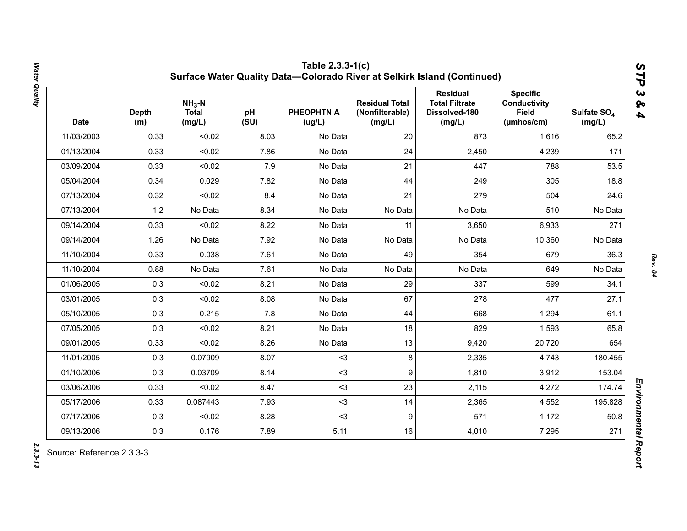| <b>Date</b> | <b>Depth</b><br>(m) | $NH3-N$<br><b>Total</b><br>(mg/L) | pH<br>(SU) | <b>PHEOPHTN A</b><br>(ug/L) | <b>Residual Total</b><br>(Nonfilterable)<br>(mg/L) | <b>Residual</b><br><b>Total Filtrate</b><br>Dissolved-180<br>(mg/L) | <b>Specific</b><br>Conductivity<br><b>Field</b><br>(µmhos/cm) | Sulfate SO <sub>4</sub><br>(mg/L) |
|-------------|---------------------|-----------------------------------|------------|-----------------------------|----------------------------------------------------|---------------------------------------------------------------------|---------------------------------------------------------------|-----------------------------------|
| 11/03/2003  | 0.33                | < 0.02                            | 8.03       | No Data                     | 20                                                 | 873                                                                 | 1,616                                                         | 65.2                              |
| 01/13/2004  | 0.33                | < 0.02                            | 7.86       | No Data                     | 24                                                 | 2,450                                                               | 4,239                                                         | 171                               |
| 03/09/2004  | 0.33                | < 0.02                            | 7.9        | No Data                     | 21                                                 | 447                                                                 | 788                                                           | 53.5                              |
| 05/04/2004  | 0.34                | 0.029                             | 7.82       | No Data                     | 44                                                 | 249                                                                 | 305                                                           | 18.8                              |
| 07/13/2004  | 0.32                | < 0.02                            | 8.4        | No Data                     | 21                                                 | 279                                                                 | 504                                                           | 24.6                              |
| 07/13/2004  | 1.2                 | No Data                           | 8.34       | No Data                     | No Data                                            | No Data                                                             | 510                                                           | No Data                           |
| 09/14/2004  | 0.33                | < 0.02                            | 8.22       | No Data                     | 11                                                 | 3,650                                                               | 6,933                                                         | 271                               |
| 09/14/2004  | 1.26                | No Data                           | 7.92       | No Data                     | No Data                                            | No Data                                                             | 10,360                                                        | No Data                           |
| 11/10/2004  | 0.33                | 0.038                             | 7.61       | No Data                     | 49                                                 | 354                                                                 | 679                                                           | 36.3                              |
| 11/10/2004  | 0.88                | No Data                           | 7.61       | No Data                     | No Data                                            | No Data                                                             | 649                                                           | No Data                           |
| 01/06/2005  | 0.3                 | < 0.02                            | 8.21       | No Data                     | 29                                                 | 337                                                                 | 599                                                           | 34.1                              |
| 03/01/2005  | 0.3                 | < 0.02                            | 8.08       | No Data                     | 67                                                 | 278                                                                 | 477                                                           | 27.1                              |
| 05/10/2005  | 0.3                 | 0.215                             | 7.8        | No Data                     | 44                                                 | 668                                                                 | 1,294                                                         | 61.1                              |
| 07/05/2005  | 0.3                 | < 0.02                            | 8.21       | No Data                     | 18                                                 | 829                                                                 | 1,593                                                         | 65.8                              |
| 09/01/2005  | 0.33                | < 0.02                            | 8.26       | No Data                     | 13                                                 | 9,420                                                               | 20,720                                                        | 654                               |
| 11/01/2005  | 0.3                 | 0.07909                           | 8.07       | $3$                         | 8                                                  | 2,335                                                               | 4,743                                                         | 180.455                           |
| 01/10/2006  | 0.3                 | 0.03709                           | 8.14       | $3$                         | 9                                                  | 1,810                                                               | 3,912                                                         | 153.04                            |
| 03/06/2006  | 0.33                | < 0.02                            | 8.47       | $3$                         | 23                                                 | 2,115                                                               | 4,272                                                         | 174.74                            |
| 05/17/2006  | 0.33                | 0.087443                          | 7.93       | $3$                         | 14                                                 | 2,365                                                               | 4,552                                                         | 195.828                           |
| 07/17/2006  | 0.3                 | < 0.02                            | 8.28       | $3$                         | 9                                                  | 571                                                                 | 1,172                                                         | 50.8                              |
| 09/13/2006  | 0.3                 | 0.176                             | 7.89       | 5.11                        | 16                                                 | 4,010                                                               | 7,295                                                         | 271                               |

Water Quality *Water Quality 2.3.3-13*

2.3.3-13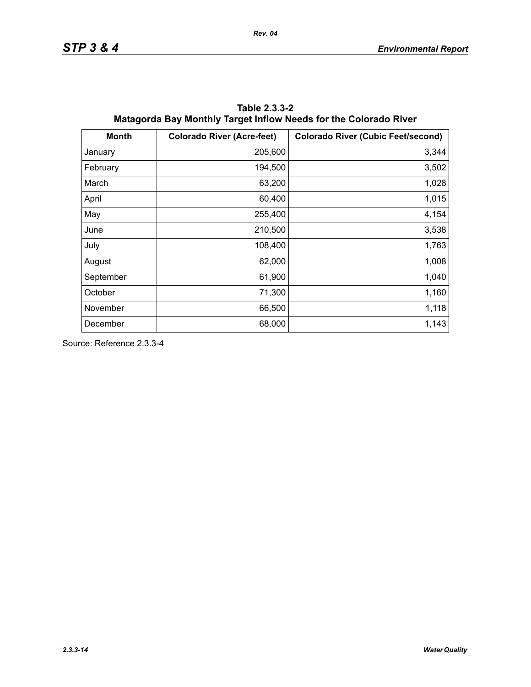| <b>Month</b> | <b>Colorado River (Acre-feet)</b> | <b>Colorado River (Cubic Feet/second)</b> |
|--------------|-----------------------------------|-------------------------------------------|
| January      | 205,600                           | 3,344                                     |
| February     | 194,500                           | 3,502                                     |
| March        | 63,200                            | 1,028                                     |
| April        | 60,400                            | 1,015                                     |
| May          | 255,400                           | 4,154                                     |
| June         | 210,500                           | 3,538                                     |
| July         | 108,400                           | 1,763                                     |
| August       | 62,000                            | 1,008                                     |
| September    | 61,900                            | 1,040                                     |
| October      | 71,300                            | 1,160                                     |
| November     | 66,500                            | 1,118                                     |
| December     | 68,000                            | 1,143                                     |

**Table 2.3.3-2 Matagorda Bay Monthly Target Inflow Needs for the Colorado River**

Source: Reference 2.3.3-4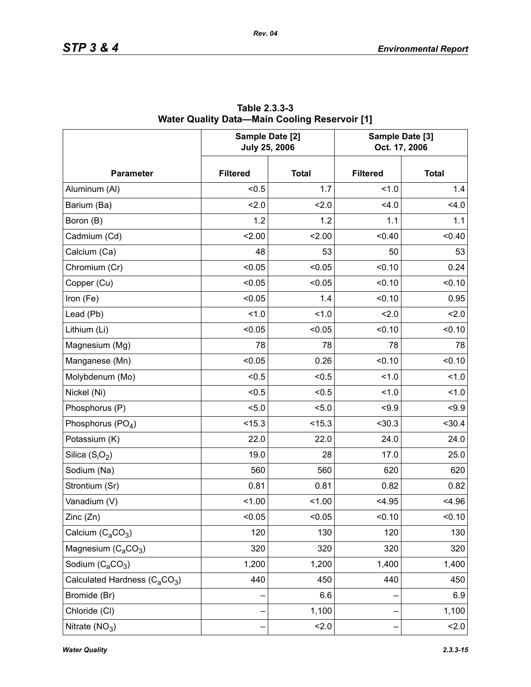|                                                       | Sample Date [2]<br><b>July 25, 2006</b> |              | Sample Date [3]<br>Oct. 17, 2006 |              |  |
|-------------------------------------------------------|-----------------------------------------|--------------|----------------------------------|--------------|--|
| <b>Parameter</b>                                      | <b>Filtered</b>                         | <b>Total</b> | <b>Filtered</b>                  | <b>Total</b> |  |
| Aluminum (Al)                                         | < 0.5                                   | 1.7          | 1.0                              | 1.4          |  |
| Barium (Ba)                                           | 2.0                                     | 2.0          | 4.0                              | 4.0          |  |
| Boron (B)                                             | 1.2                                     | 1.2          | 1.1                              | 1.1          |  |
| Cadmium (Cd)                                          | 2.00                                    | 2.00         | < 0.40                           | < 0.40       |  |
| Calcium (Ca)                                          | 48                                      | 53           | 50                               | 53           |  |
| Chromium (Cr)                                         | < 0.05                                  | < 0.05       | < 0.10                           | 0.24         |  |
| Copper (Cu)                                           | < 0.05                                  | < 0.05       | < 0.10                           | < 0.10       |  |
| Iron (Fe)                                             | < 0.05                                  | 1.4          | < 0.10                           | 0.95         |  |
| Lead (Pb)                                             | 1.0                                     | 1.0          | 2.0                              | 2.0          |  |
| Lithium (Li)                                          | < 0.05                                  | < 0.05       | < 0.10                           | < 0.10       |  |
| Magnesium (Mg)                                        | 78                                      | 78           | 78                               | 78           |  |
| Manganese (Mn)                                        | < 0.05                                  | 0.26         | < 0.10                           | < 0.10       |  |
| Molybdenum (Mo)                                       | < 0.5                                   | < 0.5        | 1.0                              | 1.0          |  |
| Nickel (Ni)                                           | < 0.5                                   | < 0.5        | 1.0                              | 1.0          |  |
| Phosphorus (P)                                        | 5.0                                     | 5.0          | < 9.9                            | $5 - 9.9$    |  |
| Phosphorus (PO <sub>4</sub> )                         | < 15.3                                  | < 15.3       | < 30.3                           | < 30.4       |  |
| Potassium (K)                                         | 22.0                                    | 22.0         | 24.0                             | 24.0         |  |
| Silica $(S_iO_2)$                                     | 19.0                                    | 28           | 17.0                             | 25.0         |  |
| Sodium (Na)                                           | 560                                     | 560          | 620                              | 620          |  |
| Strontium (Sr)                                        | 0.81                                    | 0.81         | 0.82                             | 0.82         |  |
| Vanadium (V)                                          | < 1.00                                  | 1.00         | < 4.95                           | < 4.96       |  |
| Zinc (Zn)                                             | < 0.05                                  | < 0.05       | < 0.10                           | < 0.10       |  |
| Calcium $(C_2CO_3)$                                   | 120                                     | 130          | 120                              | 130          |  |
| Magnesium (C <sub>a</sub> CO <sub>3</sub> )           | 320                                     | 320          | 320                              | 320          |  |
| Sodium $(C_aCO_3)$                                    | 1,200                                   | 1,200        | 1,400                            | 1,400        |  |
| Calculated Hardness (C <sub>a</sub> CO <sub>3</sub> ) | 440                                     | 450          | 440                              | 450          |  |
| Bromide (Br)                                          |                                         | 6.6          |                                  | 6.9          |  |
| Chloride (CI)                                         |                                         | 1,100        |                                  | 1,100        |  |
| Nitrate $(NO3)$                                       |                                         | 2.0          |                                  | 2.0          |  |

**Table 2.3.3-3 Water Quality Data—Main Cooling Reservoir [1]**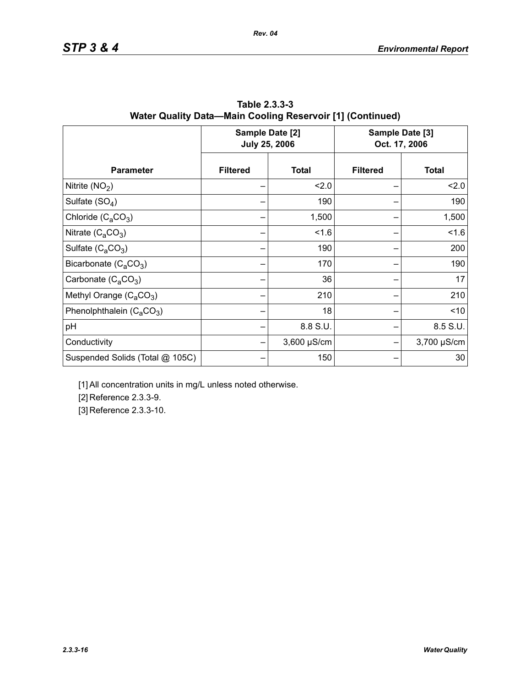|                                 |                 | Sample Date [2]<br><b>July 25, 2006</b> |                 | Sample Date [3]<br>Oct. 17, 2006 |  |
|---------------------------------|-----------------|-----------------------------------------|-----------------|----------------------------------|--|
| <b>Parameter</b>                | <b>Filtered</b> | <b>Total</b>                            | <b>Filtered</b> | <b>Total</b>                     |  |
| Nitrite $(NO2)$                 |                 | 2.0                                     |                 | 2.0                              |  |
| Sulfate $(SO_4)$                |                 | 190                                     |                 | 190                              |  |
| Chloride $(C_aCO_3)$            |                 | 1,500                                   |                 | 1,500                            |  |
| Nitrate $(C_4CO_3)$             |                 | 1.6                                     |                 | 1.6                              |  |
| Sulfate $(C_4CO_3)$             |                 | 190                                     |                 | 200                              |  |
| Bicarbonate $(C_aCO_3)$         |                 | 170                                     |                 | 190                              |  |
| Carbonate $(C_4CO_3)$           |                 | 36                                      |                 | 17                               |  |
| Methyl Orange $(C_3CO_3)$       |                 | 210                                     |                 | 210                              |  |
| Phenolphthalein $(C_4CO_3)$     |                 | 18                                      |                 | < 10                             |  |
| pH                              |                 | 8.8 S.U.                                |                 | 8.5 S.U.                         |  |
| Conductivity                    |                 | $3,600 \mu S/cm$                        |                 | 3,700 µS/cm                      |  |
| Suspended Solids (Total @ 105C) |                 | 150                                     |                 | 30                               |  |

**Table 2.3.3-3 Water Quality Data—Main Cooling Reservoir [1] (Continued)**

*Rev. 04*

[1] All concentration units in mg/L unless noted otherwise.

[2] Reference 2.3.3-9.

[3] Reference 2.3.3-10.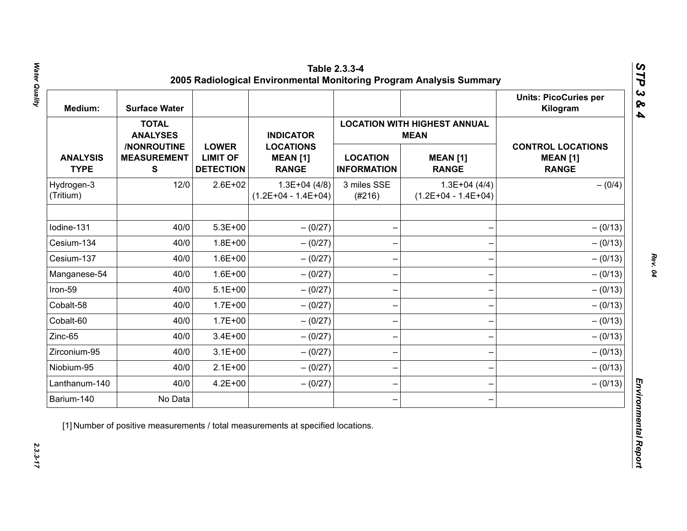| Medium:                        | <b>Surface Water</b>                           |                                                     |                                                     |                                       |                                                    | <b>Units: PicoCuries per</b><br>Kilogram                    |
|--------------------------------|------------------------------------------------|-----------------------------------------------------|-----------------------------------------------------|---------------------------------------|----------------------------------------------------|-------------------------------------------------------------|
|                                | <b>TOTAL</b><br><b>ANALYSES</b>                |                                                     | <b>INDICATOR</b>                                    |                                       | <b>LOCATION WITH HIGHEST ANNUAL</b><br><b>MEAN</b> |                                                             |
| <b>ANALYSIS</b><br><b>TYPE</b> | /NONROUTINE<br><b>MEASUREMENT</b><br>${\bf S}$ | <b>LOWER</b><br><b>LIMIT OF</b><br><b>DETECTION</b> | <b>LOCATIONS</b><br><b>MEAN [1]</b><br><b>RANGE</b> | <b>LOCATION</b><br><b>INFORMATION</b> | <b>MEAN [1]</b><br><b>RANGE</b>                    | <b>CONTROL LOCATIONS</b><br><b>MEAN [1]</b><br><b>RANGE</b> |
| Hydrogen-3<br>(Tritium)        | 12/0                                           | $2.6E + 02$                                         | $1.3E+04(4/8)$<br>$(1.2E+04 - 1.4E+04)$             | 3 miles SSE<br>(#216)                 | $1.3E+04(4/4)$<br>$(1.2E+04 - 1.4E+04)$            | $- (0/4)$                                                   |
| Iodine-131                     | 40/0                                           | $5.3E + 00$                                         | $- (0/27)$                                          |                                       |                                                    | $- (0/13)$                                                  |
| Cesium-134                     | 40/0                                           | $1.8E + 00$                                         | $- (0/27)$                                          |                                       |                                                    | $- (0/13)$                                                  |
| Cesium-137                     | 40/0                                           | $1.6E + 00$                                         | $-(0/27)$                                           |                                       |                                                    | $- (0/13)$                                                  |
| Manganese-54                   | 40/0                                           | $1.6E + 00$                                         | $- (0/27)$                                          |                                       |                                                    | $- (0/13)$                                                  |
| Iron-59                        | 40/0                                           | $5.1E+00$                                           | $- (0/27)$                                          |                                       |                                                    | $- (0/13)$                                                  |
| Cobalt-58                      | 40/0                                           | $1.7E + 00$                                         | $-(0/27)$                                           |                                       |                                                    | $- (0/13)$                                                  |
| Cobalt-60                      | 40/0                                           | $1.7E + 00$                                         | $-(0/27)$                                           |                                       |                                                    | $- (0/13)$                                                  |
| Zinc-65                        | 40/0                                           | $3.4E + 00$                                         | $- (0/27)$                                          |                                       |                                                    | $- (0/13)$                                                  |
| Zirconium-95                   | 40/0                                           | $3.1E + 00$                                         | $-(0/27)$                                           |                                       |                                                    | $- (0/13)$                                                  |
| Niobium-95                     | 40/0                                           | $2.1E+00$                                           | $-(0/27)$                                           |                                       |                                                    | $- (0/13)$                                                  |
| Lanthanum-140                  | 40/0                                           | $4.2E + 00$                                         | $- (0/27)$                                          |                                       |                                                    | $- (0/13)$                                                  |
| Barium-140                     | No Data                                        |                                                     |                                                     |                                       |                                                    |                                                             |

Water Quality *Water Quality 2.3.3-17*

*Rev. 04*

 $2.3.3 - 17$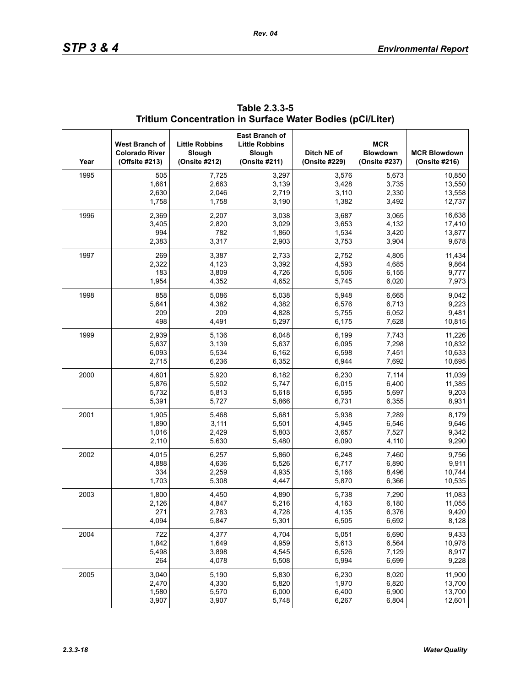| Year | West Branch of<br><b>Colorado River</b><br>(Offsite #213) | <b>Little Robbins</b><br>Slough<br>(Onsite #212) | <b>East Branch of</b><br><b>Little Robbins</b><br>Slough<br>(Onsite #211) | Ditch NE of<br>(Onsite #229) | <b>MCR</b><br><b>Blowdown</b><br>(Onsite #237) | <b>MCR Blowdown</b><br>(Onsite #216) |
|------|-----------------------------------------------------------|--------------------------------------------------|---------------------------------------------------------------------------|------------------------------|------------------------------------------------|--------------------------------------|
| 1995 | 505                                                       | 7,725                                            | 3,297                                                                     | 3,576                        | 5,673                                          | 10,850                               |
|      | 1,661                                                     | 2,663                                            | 3,139                                                                     | 3,428                        | 3,735                                          | 13,550                               |
|      | 2,630                                                     | 2,046                                            | 2,719                                                                     | 3,110                        | 2,330                                          | 13,558                               |
|      | 1,758                                                     | 1,758                                            | 3,190                                                                     | 1,382                        | 3,492                                          | 12,737                               |
| 1996 | 2,369                                                     | 2,207                                            | 3,038                                                                     | 3,687                        | 3,065                                          | 16,638                               |
|      | 3,405                                                     | 2,820                                            | 3,029                                                                     | 3,653                        | 4,132                                          | 17,410                               |
|      | 994                                                       | 782                                              | 1,860                                                                     | 1,534                        | 3,420                                          | 13,877                               |
|      | 2,383                                                     | 3,317                                            | 2,903                                                                     | 3,753                        | 3,904                                          | 9,678                                |
| 1997 | 269                                                       | 3,387                                            | 2,733                                                                     | 2,752                        | 4,805                                          | 11,434                               |
|      | 2,322                                                     | 4,123                                            | 3,392                                                                     | 4,593                        | 4,685                                          | 9,864                                |
|      | 183                                                       | 3,809                                            | 4,726                                                                     | 5,506                        | 6,155                                          | 9,777                                |
|      | 1,954                                                     | 4,352                                            | 4,652                                                                     | 5,745                        | 6,020                                          | 7,973                                |
| 1998 | 858                                                       | 5,086                                            | 5,038                                                                     | 5,948                        | 6,665                                          | 9,042                                |
|      | 5,641                                                     | 4,382                                            | 4,382                                                                     | 6,576                        | 6,713                                          | 9,223                                |
|      | 209                                                       | 209                                              | 4,828                                                                     | 5,755                        | 6,052                                          | 9,481                                |
|      | 498                                                       | 4,491                                            | 5,297                                                                     | 6,175                        | 7,628                                          | 10,815                               |
| 1999 | 2,939                                                     | 5,136                                            | 6,048                                                                     | 6,199                        | 7,743                                          | 11,226                               |
|      | 5,637                                                     | 3,139                                            | 5,637                                                                     | 6,095                        | 7,298                                          | 10,832                               |
|      | 6,093                                                     | 5,534                                            | 6,162                                                                     | 6,598                        | 7,451                                          | 10,633                               |
|      | 2,715                                                     | 6,236                                            | 6,352                                                                     | 6,944                        | 7,692                                          | 10,695                               |
| 2000 | 4,601                                                     | 5,920                                            | 6,182                                                                     | 6,230                        | 7,114                                          | 11,039                               |
|      | 5,876                                                     | 5,502                                            | 5,747                                                                     | 6,015                        | 6,400                                          | 11,385                               |
|      | 5,732                                                     | 5,813                                            | 5,618                                                                     | 6,595                        | 5,697                                          | 9,203                                |
|      | 5,391                                                     | 5,727                                            | 5,866                                                                     | 6,731                        | 6,355                                          | 8,931                                |
| 2001 | 1,905                                                     | 5,468                                            | 5,681                                                                     | 5,938                        | 7,289                                          | 8,179                                |
|      | 1,890                                                     | 3,111                                            | 5,501                                                                     | 4,945                        | 6,546                                          | 9,646                                |
|      | 1,016                                                     | 2,429                                            | 5,803                                                                     | 3,657                        | 7,527                                          | 9,342                                |
|      | 2,110                                                     | 5,630                                            | 5,480                                                                     | 6,090                        | 4,110                                          | 9,290                                |
| 2002 | 4,015                                                     | 6,257                                            | 5,860                                                                     | 6,248                        | 7,460                                          | 9,756                                |
|      | 4,888                                                     | 4,636                                            | 5,526                                                                     | 6,717                        | 6,890                                          | 9,911                                |
|      | 334                                                       | 2,259                                            | 4,935                                                                     | 5,166                        | 8,496                                          | 10,744                               |
|      | 1,703                                                     | 5,308                                            | 4,447                                                                     | 5,870                        | 6,366                                          | 10,535                               |
| 2003 | 1,800                                                     | 4,450                                            | 4,890                                                                     | 5,738                        | 7,290                                          | 11,083                               |
|      | 2,126                                                     | 4,847                                            | 5,216                                                                     | 4,163                        | 6,180                                          | 11,055                               |
|      | 271                                                       | 2,783                                            | 4,728                                                                     | 4,135                        | 6,376                                          | 9,420                                |
|      | 4,094                                                     | 5,847                                            | 5,301                                                                     | 6,505                        | 6,692                                          | 8,128                                |
| 2004 | 722                                                       | 4,377                                            | 4,704                                                                     | 5,051                        | 6,690                                          | 9,433                                |
|      | 1,842                                                     | 1,649                                            | 4,959                                                                     | 5,613                        | 6,564                                          | 10,978                               |
|      | 5,498                                                     | 3,898                                            | 4,545                                                                     | 6,526                        | 7,129                                          | 8,917                                |
|      | 264                                                       | 4,078                                            | 5,508                                                                     | 5,994                        | 6,699                                          | 9,228                                |
| 2005 | 3,040                                                     | 5,190                                            | 5,830                                                                     | 6,230                        | 8,020                                          | 11,900                               |
|      | 2,470                                                     | 4,330                                            | 5,820                                                                     | 1,970                        | 6,820                                          | 13,700                               |
|      | 1,580                                                     | 5,570                                            | 6,000                                                                     | 6,400                        | 6,900                                          | 13,700                               |
|      | 3,907                                                     | 3,907                                            | 5,748                                                                     | 6,267                        | 6,804                                          | 12,601                               |

| Table 2.3.3-5                                             |  |
|-----------------------------------------------------------|--|
| Tritium Concentration in Surface Water Bodies (pCi/Liter) |  |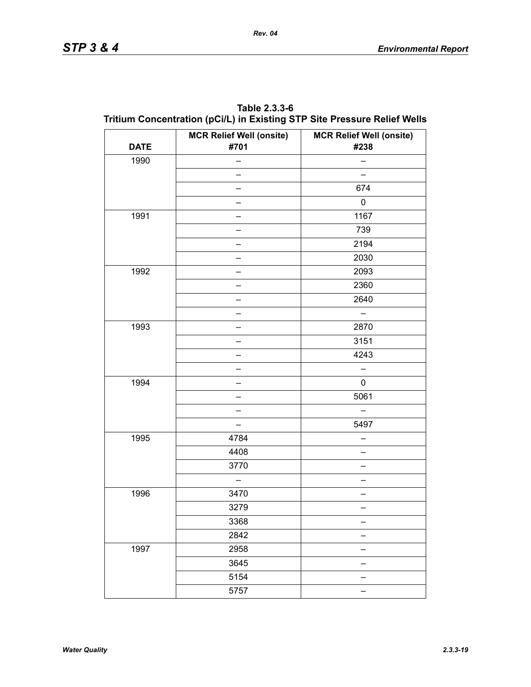| <b>DATE</b> | <b>MCR Relief Well (onsite)</b><br>#701 | <b>MCR Relief Well (onsite)</b><br>#238 |
|-------------|-----------------------------------------|-----------------------------------------|
| 1990        |                                         |                                         |
|             |                                         |                                         |
|             |                                         | 674                                     |
|             |                                         | 0                                       |
| 1991        |                                         | 1167                                    |
|             |                                         | 739                                     |
|             |                                         | 2194                                    |
|             |                                         | 2030                                    |
| 1992        |                                         | 2093                                    |
|             |                                         | 2360                                    |
|             |                                         | 2640                                    |
|             |                                         | $\overline{\phantom{0}}$                |
| 1993        |                                         | 2870                                    |
|             |                                         | 3151                                    |
|             |                                         | 4243                                    |
|             |                                         |                                         |
| 1994        |                                         | 0                                       |
|             |                                         | 5061                                    |
|             |                                         |                                         |
|             | -                                       | 5497                                    |
| 1995        | 4784                                    |                                         |
|             | 4408                                    |                                         |
|             | 3770                                    |                                         |
|             | $\equiv$                                |                                         |
| 1996        | 3470                                    |                                         |
|             | 3279                                    |                                         |
|             | 3368                                    | —                                       |
|             | 2842                                    |                                         |
| 1997        | 2958                                    |                                         |
|             | 3645                                    |                                         |
|             | 5154                                    |                                         |
|             | 5757                                    |                                         |

**Table 2.3.3-6 Tritium Concentration (pCi/L) in Existing STP Site Pressure Relief Wells**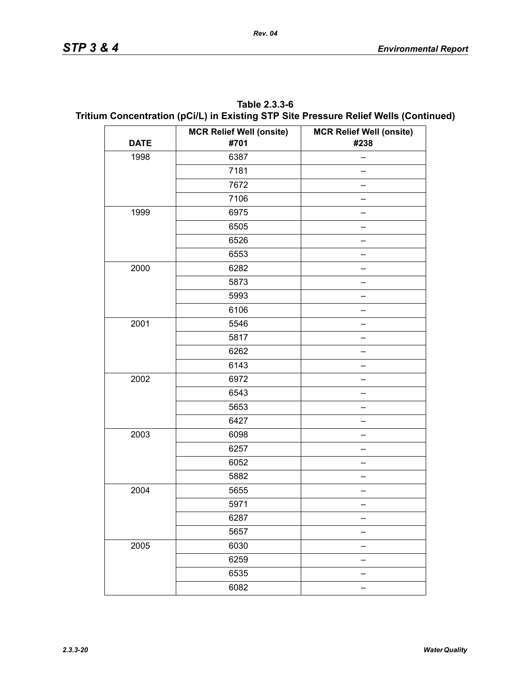| Table 2.3.3-6                                                                        |
|--------------------------------------------------------------------------------------|
| Tritium Concentration (pCi/L) in Existing STP Site Pressure Relief Wells (Continued) |

|             | <b>MCR Relief Well (onsite)</b> | <b>MCR Relief Well (onsite)</b> |
|-------------|---------------------------------|---------------------------------|
| <b>DATE</b> | #701                            | #238                            |
| 1998        | 6387                            |                                 |
|             | 7181                            |                                 |
|             | 7672                            |                                 |
|             | 7106                            |                                 |
| 1999        | 6975                            |                                 |
|             | 6505                            |                                 |
|             | 6526                            |                                 |
|             | 6553                            |                                 |
| 2000        | 6282                            |                                 |
|             | 5873                            |                                 |
|             | 5993                            |                                 |
|             | 6106                            |                                 |
| 2001        | 5546                            |                                 |
|             | 5817                            |                                 |
|             | 6262                            |                                 |
|             | 6143                            |                                 |
| 2002        | 6972                            |                                 |
|             | 6543                            |                                 |
|             | 5653                            |                                 |
|             | 6427                            |                                 |
| 2003        | 6098                            |                                 |
|             | 6257                            |                                 |
|             | 6052                            |                                 |
|             | 5882                            |                                 |
| 2004        | 5655                            |                                 |
|             | 5971                            |                                 |
|             | 6287                            |                                 |
|             | 5657                            |                                 |
| 2005        | 6030                            |                                 |
|             | 6259                            |                                 |
|             | 6535                            |                                 |
|             | 6082                            |                                 |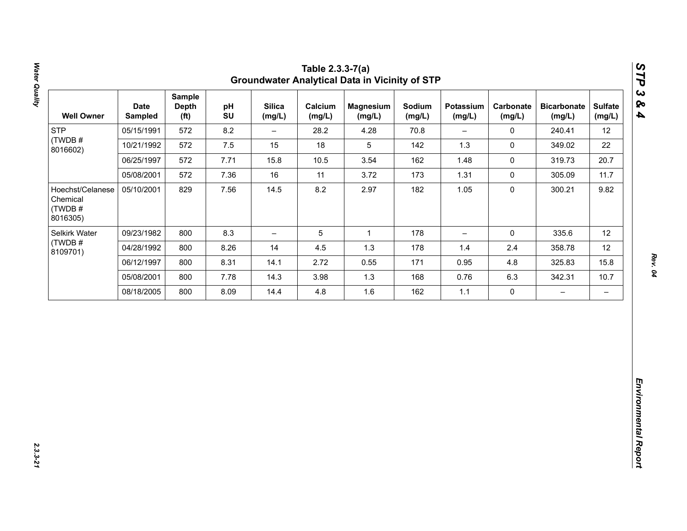| 12<br>22<br>20.7<br>11.7<br>9.82 |
|----------------------------------|
|                                  |
|                                  |
|                                  |
|                                  |
|                                  |
| 12                               |
| 12                               |
| 15.8                             |
| 10.7                             |
| $\qquad \qquad -$                |
|                                  |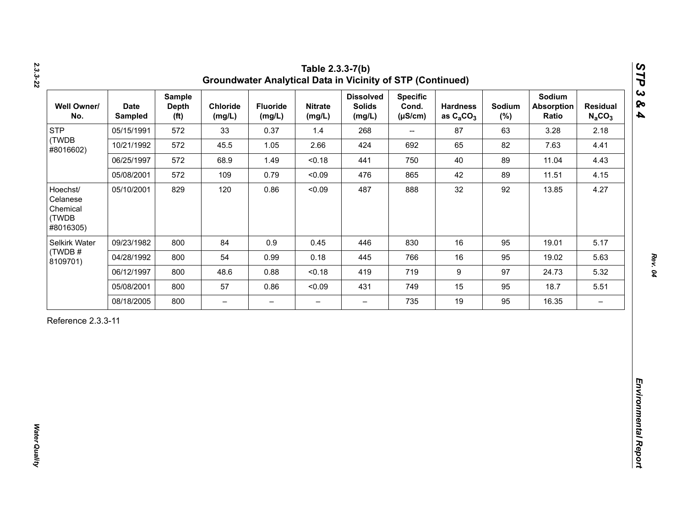| <b>STP</b><br>(TWDB                                    |            | <b>Depth</b><br>(f <sup>t</sup> ) | Chloride<br>(mg/L)       | <b>Fluoride</b><br>(mg/L) | <b>Nitrate</b><br>(mg/L) | <b>Dissolved</b><br><b>Solids</b><br>(mg/L) | <b>Specific</b><br>Cond.<br>$(\mu S/cm)$ | <b>Hardness</b><br>as $C_2CO_3$ | Sodium<br>$(\%)$ | Sodium<br><b>Absorption</b><br>Ratio | <b>Residual</b><br>$N_aCO_3$ |
|--------------------------------------------------------|------------|-----------------------------------|--------------------------|---------------------------|--------------------------|---------------------------------------------|------------------------------------------|---------------------------------|------------------|--------------------------------------|------------------------------|
| #8016602)                                              | 05/15/1991 | 572                               | 33                       | 0.37                      | 1.4                      | 268                                         | $\overline{\phantom{a}}$                 | 87                              | 63               | 3.28                                 | 2.18                         |
|                                                        | 10/21/1992 | 572                               | 45.5                     | 1.05                      | 2.66                     | 424                                         | 692                                      | 65                              | 82               | 7.63                                 | 4.41                         |
|                                                        | 06/25/1997 | 572                               | 68.9                     | 1.49                      | < 0.18                   | 441                                         | 750                                      | 40                              | 89               | 11.04                                | 4.43                         |
|                                                        | 05/08/2001 | 572                               | 109                      | 0.79                      | < 0.09                   | 476                                         | 865                                      | 42                              | 89               | 11.51                                | 4.15                         |
| Hoechst/<br>Celanese<br>Chemical<br>(TWDB<br>#8016305) | 05/10/2001 | 829                               | 120                      | 0.86                      | < 0.09                   | 487                                         | 888                                      | 32                              | 92               | 13.85                                | 4.27                         |
| Selkirk Water                                          | 09/23/1982 | 800                               | 84                       | 0.9                       | 0.45                     | 446                                         | 830                                      | 16                              | 95               | 19.01                                | 5.17                         |
| (TWDB#<br>8109701)                                     | 04/28/1992 | 800                               | 54                       | 0.99                      | 0.18                     | 445                                         | 766                                      | 16                              | 95               | 19.02                                | 5.63                         |
|                                                        | 06/12/1997 | 800                               | 48.6                     | 0.88                      | < 0.18                   | 419                                         | 719                                      | $\boldsymbol{9}$                | 97               | 24.73                                | 5.32                         |
|                                                        | 05/08/2001 | 800                               | 57                       | 0.86                      | < 0.09                   | 431                                         | 749                                      | 15                              | 95               | 18.7                                 | 5.51                         |
|                                                        | 08/18/2005 | 800                               | $\overline{\phantom{0}}$ | $\overline{\phantom{m}}$  | $\overline{\phantom{0}}$ | $\overline{\phantom{0}}$                    | 735                                      | 19                              | 95               | 16.35                                | $\overline{\phantom{m}}$     |

*Water Quality* 

**Water Quality**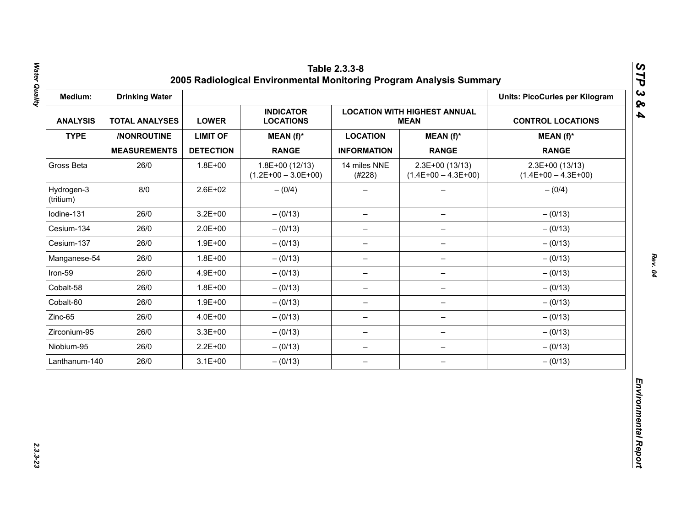| Medium:                 | <b>Drinking Water</b> |                  |                                           |                          |                                                    | <b>Units: PicoCuries per Kilogram</b>     |
|-------------------------|-----------------------|------------------|-------------------------------------------|--------------------------|----------------------------------------------------|-------------------------------------------|
| <b>ANALYSIS</b>         | <b>TOTAL ANALYSES</b> | <b>LOWER</b>     | <b>INDICATOR</b><br><b>LOCATIONS</b>      |                          | <b>LOCATION WITH HIGHEST ANNUAL</b><br><b>MEAN</b> | <b>CONTROL LOCATIONS</b>                  |
| <b>TYPE</b>             | /NONROUTINE           | <b>LIMIT OF</b>  | MEAN (f)*                                 | <b>LOCATION</b>          | $MEAN(f)^*$                                        | $MEAN(f)^*$                               |
|                         | <b>MEASUREMENTS</b>   | <b>DETECTION</b> | <b>RANGE</b>                              | <b>INFORMATION</b>       | <b>RANGE</b>                                       | <b>RANGE</b>                              |
| Gross Beta              | 26/0                  | $1.8E + 00$      | $1.8E+00(12/13)$<br>$(1.2E+00 - 3.0E+00)$ | 14 miles NNE<br>(#228)   | 2.3E+00 (13/13)<br>$(1.4E+00 - 4.3E+00)$           | $2.3E+00(13/13)$<br>$(1.4E+00 - 4.3E+00)$ |
| Hydrogen-3<br>(tritium) | 8/0                   | $2.6E + 02$      | $- (0/4)$                                 |                          |                                                    | $- (0/4)$                                 |
| Iodine-131              | 26/0                  | $3.2E + 00$      | $- (0/13)$                                | $\overline{\phantom{m}}$ | $\qquad \qquad -$                                  | $- (0/13)$                                |
| Cesium-134              | 26/0                  | $2.0E + 00$      | $- (0/13)$                                | $\overline{\phantom{m}}$ | $\overline{\phantom{m}}$                           | $- (0/13)$                                |
| Cesium-137              | 26/0                  | $1.9E + 00$      | $- (0/13)$                                | -                        |                                                    | $- (0/13)$                                |
| Manganese-54            | 26/0                  | $1.8E + 00$      | $- (0/13)$                                | $\qquad \qquad -$        | $\qquad \qquad -$                                  | $- (0/13)$                                |
| Iron-59                 | 26/0                  | 4.9E+00          | $- (0/13)$                                | $\overline{\phantom{0}}$ | $\qquad \qquad -$                                  | $- (0/13)$                                |
| Cobalt-58               | 26/0                  | $1.8E + 00$      | $- (0/13)$                                | $\overline{\phantom{m}}$ | $\overline{\phantom{0}}$                           | $- (0/13)$                                |
| Cobalt-60               | 26/0                  | $1.9E + 00$      | $- (0/13)$                                | $\overline{\phantom{m}}$ | $\qquad \qquad -$                                  | $- (0/13)$                                |
| Zinc-65                 | 26/0                  | 4.0E+00          | $- (0/13)$                                | $\overline{\phantom{0}}$ | $\qquad \qquad -$                                  | $- (0/13)$                                |
| Zirconium-95            | 26/0                  | $3.3E + 00$      | $- (0/13)$                                | $\overline{\phantom{m}}$ | $\qquad \qquad -$                                  | $- (0/13)$                                |
| Niobium-95              | 26/0                  | $2.2E + 00$      | $- (0/13)$                                | $\overline{\phantom{m}}$ | $\qquad \qquad -$                                  | $- (0/13)$                                |
| Lanthanum-140           | 26/0                  | $3.1E + 00$      | $- (0/13)$                                | $\overline{\phantom{m}}$ | $\overline{\phantom{m}}$                           | $- (0/13)$                                |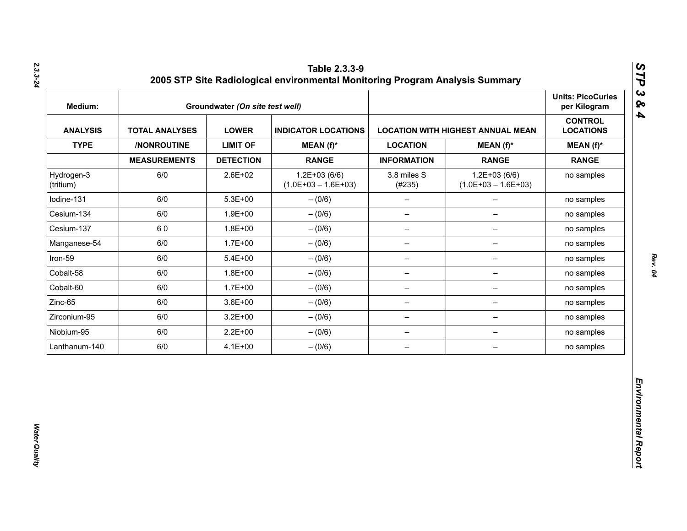| Medium:                 |                       | Groundwater (On site test well) |                                           |                          |                                          | <b>Units: PicoCuries</b><br>per Kilogram |
|-------------------------|-----------------------|---------------------------------|-------------------------------------------|--------------------------|------------------------------------------|------------------------------------------|
| <b>ANALYSIS</b>         | <b>TOTAL ANALYSES</b> | <b>LOWER</b>                    | <b>INDICATOR LOCATIONS</b>                |                          | <b>LOCATION WITH HIGHEST ANNUAL MEAN</b> | <b>CONTROL</b><br><b>LOCATIONS</b>       |
| <b>TYPE</b>             | /NONROUTINE           | <b>LIMIT OF</b>                 | $MEAN(f)^*$                               | <b>LOCATION</b>          | $MEAN(f)^*$                              | $MEAN(f)^*$                              |
|                         | <b>MEASUREMENTS</b>   | <b>DETECTION</b>                | <b>RANGE</b>                              | <b>INFORMATION</b>       | <b>RANGE</b>                             | <b>RANGE</b>                             |
| Hydrogen-3<br>(tritium) | 6/0                   | 2.6E+02                         | $1.2E + 03(6/6)$<br>$(1.0E+03 - 1.6E+03)$ | 3.8 miles S<br>(#235)    | $1.2E+03(6/6)$<br>$(1.0E+03 - 1.6E+03)$  | no samples                               |
| lodine-131              | 6/0                   | $5.3E + 00$                     | $- (0/6)$                                 | $\qquad \qquad -$        | $\overline{\phantom{0}}$                 | no samples                               |
| Cesium-134              | 6/0                   | $1.9E + 00$                     | $- (0/6)$                                 | $\qquad \qquad -$        | $\overline{\phantom{0}}$                 | no samples                               |
| Cesium-137              | 60                    | $1.8E + 00$                     | $-(0/6)$                                  | $\overline{\phantom{a}}$ | $\qquad \qquad -$                        | no samples                               |
| Manganese-54            | 6/0                   | $1.7E + 00$                     | $- (0/6)$                                 | $\overline{\phantom{m}}$ | -                                        | no samples                               |
| Iron-59                 | 6/0                   | $5.4E + 00$                     | $- (0/6)$                                 | $\qquad \qquad -$        | -                                        | no samples                               |
| Cobalt-58               | 6/0                   | $1.8E + 00$                     | $- (0/6)$                                 | $\overline{\phantom{m}}$ | $\qquad \qquad -$                        | no samples                               |
| Cobalt-60               | 6/0                   | $1.7E + 00$                     | $- (0/6)$                                 | $\overline{\phantom{m}}$ | $\qquad \qquad -$                        | no samples                               |
| Zinc-65                 | 6/0                   | $3.6E + 00$                     | $-(0/6)$                                  | $\overline{\phantom{m}}$ | $\qquad \qquad -$                        | no samples                               |
| Zirconium-95            | 6/0                   | $3.2E + 00$                     | $-(0/6)$                                  | $\qquad \qquad -$        | -                                        | no samples                               |
| Niobium-95              | 6/0                   | $2.2E + 00$                     | $-(0/6)$                                  | $\qquad \qquad -$        | $\overline{\phantom{a}}$                 | no samples                               |
| Lanthanum-140           | 6/0                   | $4.1E + 00$                     | $-(0/6)$                                  | $\qquad \qquad -$        | $\qquad \qquad -$                        | no samples                               |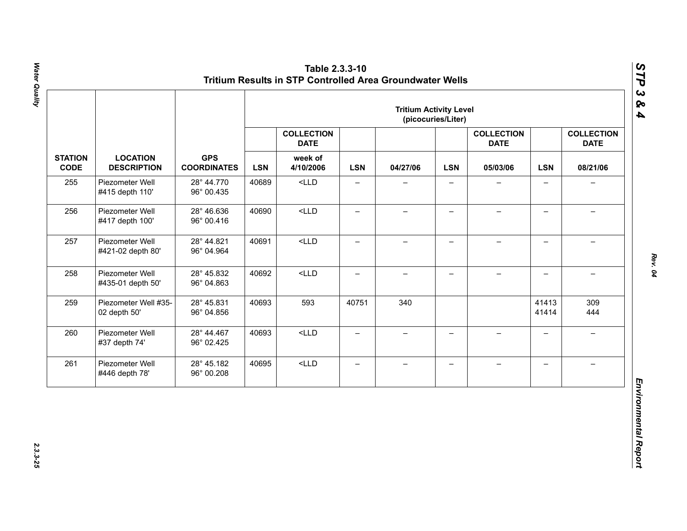|                               |                                       |                                  | <b>Tritium Activity Level</b><br>(picocuries/Liter) |                                  |                          |                          |                          |                                  |                          |                                  |
|-------------------------------|---------------------------------------|----------------------------------|-----------------------------------------------------|----------------------------------|--------------------------|--------------------------|--------------------------|----------------------------------|--------------------------|----------------------------------|
|                               |                                       |                                  |                                                     | <b>COLLECTION</b><br><b>DATE</b> |                          |                          |                          | <b>COLLECTION</b><br><b>DATE</b> |                          | <b>COLLECTION</b><br><b>DATE</b> |
| <b>STATION</b><br><b>CODE</b> | <b>LOCATION</b><br><b>DESCRIPTION</b> | <b>GPS</b><br><b>COORDINATES</b> | <b>LSN</b>                                          | week of<br>4/10/2006             | <b>LSN</b>               | 04/27/06                 | <b>LSN</b>               | 05/03/06                         | <b>LSN</b>               | 08/21/06                         |
| 255                           | Piezometer Well<br>#415 depth 110'    | 28° 44.770<br>96° 00.435         | 40689                                               | $<$ LLD                          | $\overline{\phantom{0}}$ |                          |                          |                                  | $\overline{\phantom{0}}$ |                                  |
| 256                           | Piezometer Well<br>#417 depth 100'    | 28° 46.636<br>96° 00.416         | 40690                                               | $<$ LLD                          | $\qquad \qquad -$        | $\overline{\phantom{0}}$ | $\qquad \qquad -$        |                                  | $\overline{\phantom{0}}$ |                                  |
| 257                           | Piezometer Well<br>#421-02 depth 80'  | 28° 44.821<br>96° 04.964         | 40691                                               | $<$ LLD                          | $\overline{\phantom{0}}$ | $\qquad \qquad -$        | $\overline{\phantom{0}}$ | $\overline{\phantom{0}}$         | $\overline{\phantom{0}}$ | $\equiv$                         |
| 258                           | Piezometer Well<br>#435-01 depth 50'  | 28° 45.832<br>96° 04.863         | 40692                                               | $<$ LLD                          | $\overline{\phantom{0}}$ | $\overline{\phantom{0}}$ | $\overline{\phantom{0}}$ | $\!-$                            | $\overline{a}$           | $\overline{\phantom{0}}$         |
| 259                           | Piezometer Well #35-<br>02 depth 50'  | 28° 45.831<br>96° 04.856         | 40693                                               | 593                              | 40751                    | 340                      |                          |                                  | 41413<br>41414           | 309<br>444                       |
| 260                           | Piezometer Well<br>#37 depth 74'      | 28° 44.467<br>96° 02.425         | 40693                                               | $<$ LLD                          | $\overline{\phantom{0}}$ | $\qquad \qquad -$        | $\overline{\phantom{0}}$ | $\equiv$                         | $\overline{\phantom{0}}$ | $\rightarrow$                    |
| 261                           | Piezometer Well<br>#446 depth 78'     | 28° 45.182<br>96° 00.208         | 40695                                               | $<$ LLD                          | $\qquad \qquad -$        | $\qquad \qquad -$        | $\overline{\phantom{m}}$ | $\qquad \qquad -$                | $\overline{\phantom{0}}$ | $\overline{\phantom{0}}$         |

2.3.3-25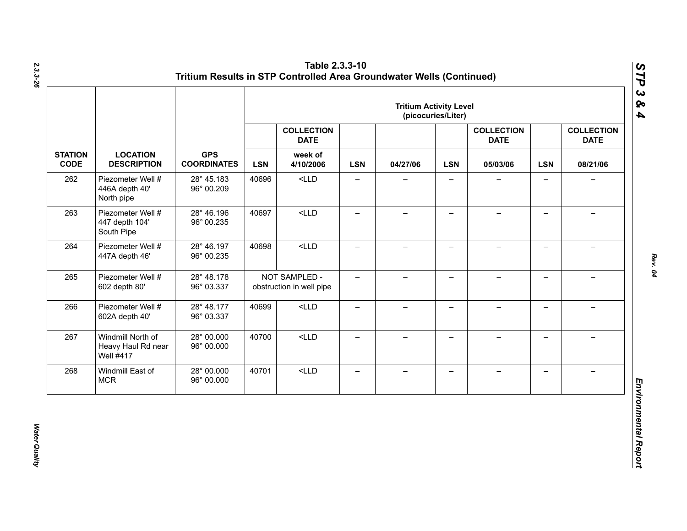|                               |                                                             |                                  |            |                                           |                          | <b>Tritium Activity Level</b> | (picocuries/Liter)       |                                  |                          |                                  |
|-------------------------------|-------------------------------------------------------------|----------------------------------|------------|-------------------------------------------|--------------------------|-------------------------------|--------------------------|----------------------------------|--------------------------|----------------------------------|
|                               |                                                             |                                  |            | <b>COLLECTION</b><br><b>DATE</b>          |                          |                               |                          | <b>COLLECTION</b><br><b>DATE</b> |                          | <b>COLLECTION</b><br><b>DATE</b> |
| <b>STATION</b><br><b>CODE</b> | <b>LOCATION</b><br><b>DESCRIPTION</b>                       | <b>GPS</b><br><b>COORDINATES</b> | <b>LSN</b> | week of<br>4/10/2006                      | <b>LSN</b>               | 04/27/06                      | <b>LSN</b>               | 05/03/06                         | <b>LSN</b>               | 08/21/06                         |
| 262                           | Piezometer Well #<br>446A depth 40'<br>North pipe           | 28° 45.183<br>96° 00.209         | 40696      | $<$ LLD                                   | $\qquad \qquad -$        | —                             | $\overline{\phantom{0}}$ |                                  | $\qquad \qquad -$        | $\overline{\phantom{0}}$         |
| 263                           | Piezometer Well #<br>447 depth 104'<br>South Pipe           | 28° 46.196<br>96° 00.235         | 40697      | $<$ LLD                                   | $\overline{\phantom{0}}$ | $\overline{\phantom{0}}$      | $\overline{\phantom{0}}$ |                                  | $\qquad \qquad -$        |                                  |
| 264                           | Piezometer Well #<br>447A depth 46'                         | 28° 46.197<br>96° 00.235         | 40698      | $<$ LLD                                   | $\overline{\phantom{0}}$ | $\overline{\phantom{0}}$      | $\overline{\phantom{0}}$ |                                  | $\overline{\phantom{0}}$ |                                  |
| 265                           | Piezometer Well #<br>602 depth 80'                          | 28° 48.178<br>96° 03.337         |            | NOT SAMPLED -<br>obstruction in well pipe | $\overline{\phantom{0}}$ | $-$                           | $\overline{\phantom{0}}$ |                                  | $\overline{\phantom{0}}$ |                                  |
| 266                           | Piezometer Well #<br>602A depth 40'                         | 28° 48.177<br>96° 03.337         | 40699      | $<$ LLD                                   | $\qquad \qquad -$        | $\overline{\phantom{0}}$      | $\qquad \qquad -$        |                                  | $\overline{\phantom{0}}$ |                                  |
| 267                           | Windmill North of<br>Heavy Haul Rd near<br><b>Well #417</b> | 28° 00.000<br>96° 00.000         | 40700      | $<$ LLD                                   | $\equiv$                 | $\overline{\phantom{0}}$      | $\overline{\phantom{0}}$ | $\!-$                            | $\overline{\phantom{0}}$ | $\overline{\phantom{0}}$         |
| 268                           | Windmill East of<br><b>MCR</b>                              | 28° 00.000<br>96° 00.000         | 40701      | $<$ LLD                                   | $\qquad \qquad -$        | $\overline{\phantom{0}}$      | —                        |                                  | $\qquad \qquad -$        |                                  |

**Water Quality** *Water Quality*